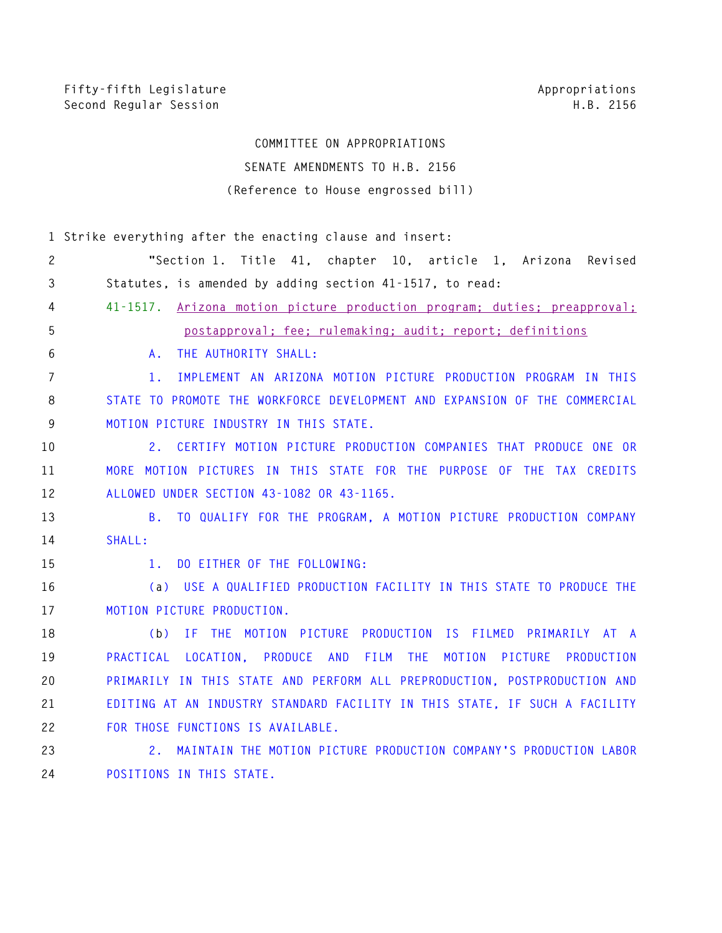# **COMMITTEE ON APPROPRIATIONS SENATE AMENDMENTS TO H.B. 2156 (Reference to House engrossed bill)**

|                | 1 Strike everything after the enacting clause and insert:                                   |
|----------------|---------------------------------------------------------------------------------------------|
| 2              | "Section 1. Title 41, chapter 10, article 1, Arizona<br>Revised                             |
| $\mathfrak{Z}$ | Statutes, is amended by adding section 41-1517, to read:                                    |
| 4              | $41 - 1517$ .<br>Arizona motion picture production program; duties; preapproval;            |
| 5              | postapproval: fee: rulemaking: audit: report: definitions                                   |
| 6              | THE AUTHORITY SHALL:<br>A.                                                                  |
| $\overline{7}$ | IMPLEMENT AN ARIZONA MOTION PICTURE PRODUCTION PROGRAM IN THIS<br>1.                        |
| 8              | STATE TO PROMOTE THE WORKFORCE DEVELOPMENT AND EXPANSION OF THE COMMERCIAL                  |
| 9              | MOTION PICTURE INDUSTRY IN THIS STATE.                                                      |
| 10             | CERTIFY MOTION PICTURE PRODUCTION COMPANIES THAT PRODUCE ONE OR<br>2.                       |
| 11             | MORE MOTION PICTURES IN THIS STATE FOR THE PURPOSE OF THE TAX CREDITS                       |
| 12             | ALLOWED UNDER SECTION 43-1082 OR 43-1165.                                                   |
| 13             | TO QUALIFY FOR THE PROGRAM, A MOTION PICTURE PRODUCTION COMPANY<br><b>B</b> .               |
| 14             | SHALL:                                                                                      |
| 15             | DO EITHER OF THE FOLLOWING:<br>1 <sub>1</sub>                                               |
| 16             | (a) USE A QUALIFIED PRODUCTION FACILITY IN THIS STATE TO PRODUCE THE                        |
| 17             | MOTION PICTURE PRODUCTION.                                                                  |
| 18             | IF THE MOTION PICTURE PRODUCTION IS FILMED PRIMARILY AT A<br>(b)                            |
| 19             | PRACTICAL<br>LOCATION, PRODUCE AND<br>FILM<br><b>THE</b><br>MOTION<br>PICTURE<br>PRODUCTION |
| 20             | PRIMARILY IN THIS STATE AND PERFORM ALL PREPRODUCTION, POSTPRODUCTION AND                   |
| 21             | EDITING AT AN INDUSTRY STANDARD FACILITY IN THIS STATE, IF SUCH A FACILITY                  |
| 22             | FOR THOSE FUNCTIONS IS AVAILABLE.                                                           |
| 23             | MAINTAIN THE MOTION PICTURE PRODUCTION COMPANY'S PRODUCTION LABOR<br>2.                     |

**24 POSITIONS IN THIS STATE.**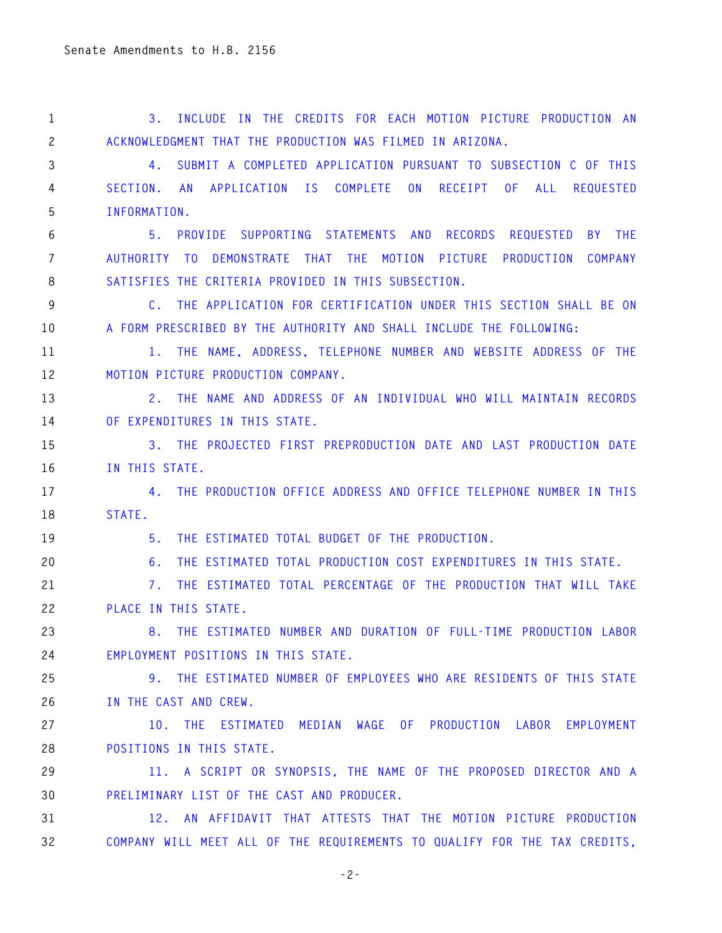**1 3. INCLUDE IN THE CREDITS FOR EACH MOTION PICTURE PRODUCTION AN 2 ACKNOWLEDGMENT THAT THE PRODUCTION WAS FILMED IN ARIZONA. 3 4. SUBMIT A COMPLETED APPLICATION PURSUANT TO SUBSECTION C OF THIS 4 SECTION. AN APPLICATION IS COMPLETE ON RECEIPT OF ALL REQUESTED 5 INFORMATION. 6 5. PROVIDE SUPPORTING STATEMENTS AND RECORDS REQUESTED BY THE 7 AUTHORITY TO DEMONSTRATE THAT THE MOTION PICTURE PRODUCTION COMPANY 8 SATISFIES THE CRITERIA PROVIDED IN THIS SUBSECTION. 9 C. THE APPLICATION FOR CERTIFICATION UNDER THIS SECTION SHALL BE ON 10 A FORM PRESCRIBED BY THE AUTHORITY AND SHALL INCLUDE THE FOLLOWING: 11 1. THE NAME, ADDRESS, TELEPHONE NUMBER AND WEBSITE ADDRESS OF THE 12 MOTION PICTURE PRODUCTION COMPANY. 13 2. THE NAME AND ADDRESS OF AN INDIVIDUAL WHO WILL MAINTAIN RECORDS 14 OF EXPENDITURES IN THIS STATE. 15 3. THE PROJECTED FIRST PREPRODUCTION DATE AND LAST PRODUCTION DATE 16 IN THIS STATE. 17 4. THE PRODUCTION OFFICE ADDRESS AND OFFICE TELEPHONE NUMBER IN THIS 18 STATE. 19 5. THE ESTIMATED TOTAL BUDGET OF THE PRODUCTION. 20 6. THE ESTIMATED TOTAL PRODUCTION COST EXPENDITURES IN THIS STATE. 21 7. THE ESTIMATED TOTAL PERCENTAGE OF THE PRODUCTION THAT WILL TAKE 22 PLACE IN THIS STATE. 23 8. THE ESTIMATED NUMBER AND DURATION OF FULL-TIME PRODUCTION LABOR 24 EMPLOYMENT POSITIONS IN THIS STATE. 25 9. THE ESTIMATED NUMBER OF EMPLOYEES WHO ARE RESIDENTS OF THIS STATE 26 IN THE CAST AND CREW. 27 10. THE ESTIMATED MEDIAN WAGE OF PRODUCTION LABOR EMPLOYMENT 28 POSITIONS IN THIS STATE. 29 11. A SCRIPT OR SYNOPSIS, THE NAME OF THE PROPOSED DIRECTOR AND A 30 PRELIMINARY LIST OF THE CAST AND PRODUCER. 31 12. AN AFFIDAVIT THAT ATTESTS THAT THE MOTION PICTURE PRODUCTION** 

**32 COMPANY WILL MEET ALL OF THE REQUIREMENTS TO QUALIFY FOR THE TAX CREDITS,**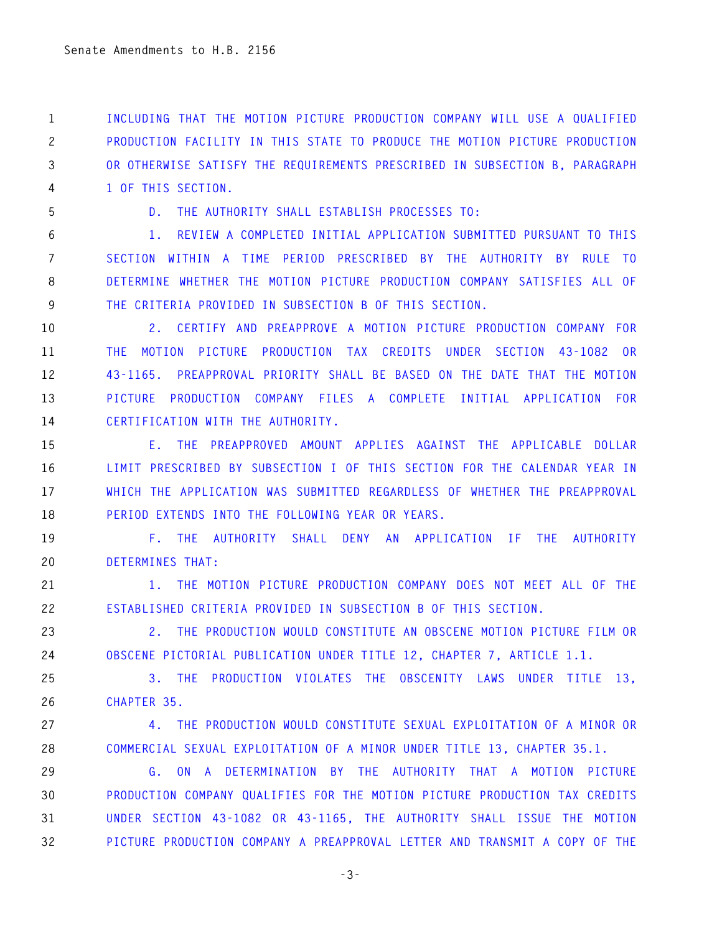**1 INCLUDING THAT THE MOTION PICTURE PRODUCTION COMPANY WILL USE A QUALIFIED 2 PRODUCTION FACILITY IN THIS STATE TO PRODUCE THE MOTION PICTURE PRODUCTION 3 OR OTHERWISE SATISFY THE REQUIREMENTS PRESCRIBED IN SUBSECTION B, PARAGRAPH 4 1 OF THIS SECTION.** 

**5 D. THE AUTHORITY SHALL ESTABLISH PROCESSES TO:** 

**6 1. REVIEW A COMPLETED INITIAL APPLICATION SUBMITTED PURSUANT TO THIS 7 SECTION WITHIN A TIME PERIOD PRESCRIBED BY THE AUTHORITY BY RULE TO 8 DETERMINE WHETHER THE MOTION PICTURE PRODUCTION COMPANY SATISFIES ALL OF 9 THE CRITERIA PROVIDED IN SUBSECTION B OF THIS SECTION.** 

**10 2. CERTIFY AND PREAPPROVE A MOTION PICTURE PRODUCTION COMPANY FOR 11 THE MOTION PICTURE PRODUCTION TAX CREDITS UNDER SECTION 43-1082 OR 12 43-1165. PREAPPROVAL PRIORITY SHALL BE BASED ON THE DATE THAT THE MOTION 13 PICTURE PRODUCTION COMPANY FILES A COMPLETE INITIAL APPLICATION FOR 14 CERTIFICATION WITH THE AUTHORITY.** 

**15 E. THE PREAPPROVED AMOUNT APPLIES AGAINST THE APPLICABLE DOLLAR 16 LIMIT PRESCRIBED BY SUBSECTION I OF THIS SECTION FOR THE CALENDAR YEAR IN 17 WHICH THE APPLICATION WAS SUBMITTED REGARDLESS OF WHETHER THE PREAPPROVAL 18 PERIOD EXTENDS INTO THE FOLLOWING YEAR OR YEARS.** 

**19 F. THE AUTHORITY SHALL DENY AN APPLICATION IF THE AUTHORITY 20 DETERMINES THAT:** 

**21 1. THE MOTION PICTURE PRODUCTION COMPANY DOES NOT MEET ALL OF THE 22 ESTABLISHED CRITERIA PROVIDED IN SUBSECTION B OF THIS SECTION.** 

**23 2. THE PRODUCTION WOULD CONSTITUTE AN OBSCENE MOTION PICTURE FILM OR 24 OBSCENE PICTORIAL PUBLICATION UNDER TITLE 12, CHAPTER 7, ARTICLE 1.1.** 

**25 3. THE PRODUCTION VIOLATES THE OBSCENITY LAWS UNDER TITLE 13, 26 CHAPTER 35.** 

**27 4. THE PRODUCTION WOULD CONSTITUTE SEXUAL EXPLOITATION OF A MINOR OR 28 COMMERCIAL SEXUAL EXPLOITATION OF A MINOR UNDER TITLE 13, CHAPTER 35.1.** 

**29 G. ON A DETERMINATION BY THE AUTHORITY THAT A MOTION PICTURE 30 PRODUCTION COMPANY QUALIFIES FOR THE MOTION PICTURE PRODUCTION TAX CREDITS 31 UNDER SECTION 43-1082 OR 43-1165, THE AUTHORITY SHALL ISSUE THE MOTION 32 PICTURE PRODUCTION COMPANY A PREAPPROVAL LETTER AND TRANSMIT A COPY OF THE**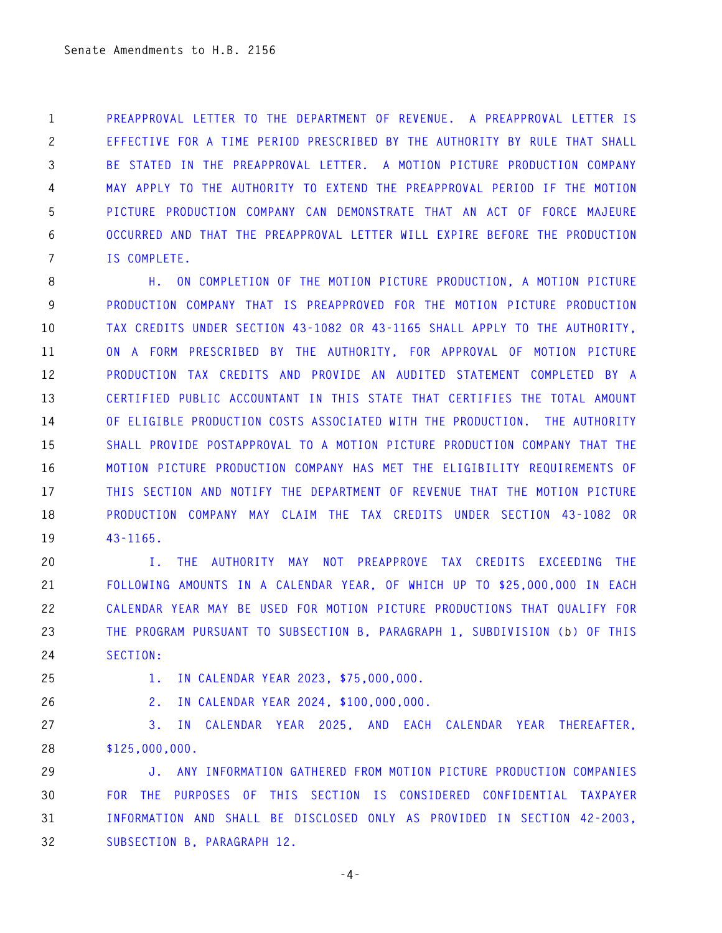**1 PREAPPROVAL LETTER TO THE DEPARTMENT OF REVENUE. A PREAPPROVAL LETTER IS 2 EFFECTIVE FOR A TIME PERIOD PRESCRIBED BY THE AUTHORITY BY RULE THAT SHALL 3 BE STATED IN THE PREAPPROVAL LETTER. A MOTION PICTURE PRODUCTION COMPANY 4 MAY APPLY TO THE AUTHORITY TO EXTEND THE PREAPPROVAL PERIOD IF THE MOTION 5 PICTURE PRODUCTION COMPANY CAN DEMONSTRATE THAT AN ACT OF FORCE MAJEURE 6 OCCURRED AND THAT THE PREAPPROVAL LETTER WILL EXPIRE BEFORE THE PRODUCTION 7 IS COMPLETE.** 

**8 H. ON COMPLETION OF THE MOTION PICTURE PRODUCTION, A MOTION PICTURE 9 PRODUCTION COMPANY THAT IS PREAPPROVED FOR THE MOTION PICTURE PRODUCTION 10 TAX CREDITS UNDER SECTION 43-1082 OR 43-1165 SHALL APPLY TO THE AUTHORITY, 11 ON A FORM PRESCRIBED BY THE AUTHORITY, FOR APPROVAL OF MOTION PICTURE 12 PRODUCTION TAX CREDITS AND PROVIDE AN AUDITED STATEMENT COMPLETED BY A 13 CERTIFIED PUBLIC ACCOUNTANT IN THIS STATE THAT CERTIFIES THE TOTAL AMOUNT 14 OF ELIGIBLE PRODUCTION COSTS ASSOCIATED WITH THE PRODUCTION. THE AUTHORITY 15 SHALL PROVIDE POSTAPPROVAL TO A MOTION PICTURE PRODUCTION COMPANY THAT THE 16 MOTION PICTURE PRODUCTION COMPANY HAS MET THE ELIGIBILITY REQUIREMENTS OF 17 THIS SECTION AND NOTIFY THE DEPARTMENT OF REVENUE THAT THE MOTION PICTURE 18 PRODUCTION COMPANY MAY CLAIM THE TAX CREDITS UNDER SECTION 43-1082 OR 19 43-1165.** 

**20 I. THE AUTHORITY MAY NOT PREAPPROVE TAX CREDITS EXCEEDING THE 21 FOLLOWING AMOUNTS IN A CALENDAR YEAR, OF WHICH UP TO \$25,000,000 IN EACH 22 CALENDAR YEAR MAY BE USED FOR MOTION PICTURE PRODUCTIONS THAT QUALIFY FOR 23 THE PROGRAM PURSUANT TO SUBSECTION B, PARAGRAPH 1, SUBDIVISION (b) OF THIS 24 SECTION:** 

**25 1. IN CALENDAR YEAR 2023, \$75,000,000.** 

**26 2. IN CALENDAR YEAR 2024, \$100,000,000.** 

**27 3. IN CALENDAR YEAR 2025, AND EACH CALENDAR YEAR THEREAFTER, 28 \$125,000,000.** 

**29 J. ANY INFORMATION GATHERED FROM MOTION PICTURE PRODUCTION COMPANIES 30 FOR THE PURPOSES OF THIS SECTION IS CONSIDERED CONFIDENTIAL TAXPAYER 31 INFORMATION AND SHALL BE DISCLOSED ONLY AS PROVIDED IN SECTION 42-2003, 32 SUBSECTION B, PARAGRAPH 12.** 

**-4-**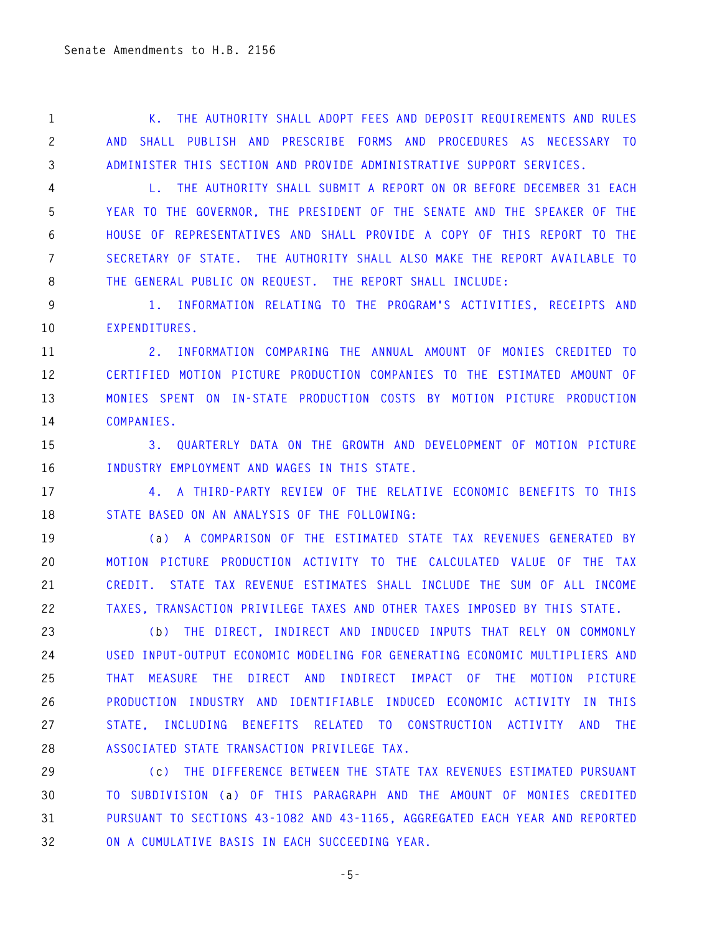**1 K. THE AUTHORITY SHALL ADOPT FEES AND DEPOSIT REQUIREMENTS AND RULES 2 AND SHALL PUBLISH AND PRESCRIBE FORMS AND PROCEDURES AS NECESSARY TO 3 ADMINISTER THIS SECTION AND PROVIDE ADMINISTRATIVE SUPPORT SERVICES.** 

**4 L. THE AUTHORITY SHALL SUBMIT A REPORT ON OR BEFORE DECEMBER 31 EACH 5 YEAR TO THE GOVERNOR, THE PRESIDENT OF THE SENATE AND THE SPEAKER OF THE 6 HOUSE OF REPRESENTATIVES AND SHALL PROVIDE A COPY OF THIS REPORT TO THE 7 SECRETARY OF STATE. THE AUTHORITY SHALL ALSO MAKE THE REPORT AVAILABLE TO 8 THE GENERAL PUBLIC ON REQUEST. THE REPORT SHALL INCLUDE:** 

**9 1. INFORMATION RELATING TO THE PROGRAM'S ACTIVITIES, RECEIPTS AND 10 EXPENDITURES.** 

**11 2. INFORMATION COMPARING THE ANNUAL AMOUNT OF MONIES CREDITED TO 12 CERTIFIED MOTION PICTURE PRODUCTION COMPANIES TO THE ESTIMATED AMOUNT OF 13 MONIES SPENT ON IN-STATE PRODUCTION COSTS BY MOTION PICTURE PRODUCTION 14 COMPANIES.** 

**15 3. QUARTERLY DATA ON THE GROWTH AND DEVELOPMENT OF MOTION PICTURE 16 INDUSTRY EMPLOYMENT AND WAGES IN THIS STATE.** 

**17 4. A THIRD-PARTY REVIEW OF THE RELATIVE ECONOMIC BENEFITS TO THIS 18 STATE BASED ON AN ANALYSIS OF THE FOLLOWING:** 

**19 (a) A COMPARISON OF THE ESTIMATED STATE TAX REVENUES GENERATED BY 20 MOTION PICTURE PRODUCTION ACTIVITY TO THE CALCULATED VALUE OF THE TAX 21 CREDIT. STATE TAX REVENUE ESTIMATES SHALL INCLUDE THE SUM OF ALL INCOME 22 TAXES, TRANSACTION PRIVILEGE TAXES AND OTHER TAXES IMPOSED BY THIS STATE.** 

**23 (b) THE DIRECT, INDIRECT AND INDUCED INPUTS THAT RELY ON COMMONLY 24 USED INPUT-OUTPUT ECONOMIC MODELING FOR GENERATING ECONOMIC MULTIPLIERS AND 25 THAT MEASURE THE DIRECT AND INDIRECT IMPACT OF THE MOTION PICTURE 26 PRODUCTION INDUSTRY AND IDENTIFIABLE INDUCED ECONOMIC ACTIVITY IN THIS 27 STATE, INCLUDING BENEFITS RELATED TO CONSTRUCTION ACTIVITY AND THE 28 ASSOCIATED STATE TRANSACTION PRIVILEGE TAX.** 

**29 (c) THE DIFFERENCE BETWEEN THE STATE TAX REVENUES ESTIMATED PURSUANT 30 TO SUBDIVISION (a) OF THIS PARAGRAPH AND THE AMOUNT OF MONIES CREDITED 31 PURSUANT TO SECTIONS 43-1082 AND 43-1165, AGGREGATED EACH YEAR AND REPORTED 32 ON A CUMULATIVE BASIS IN EACH SUCCEEDING YEAR.** 

**-5-**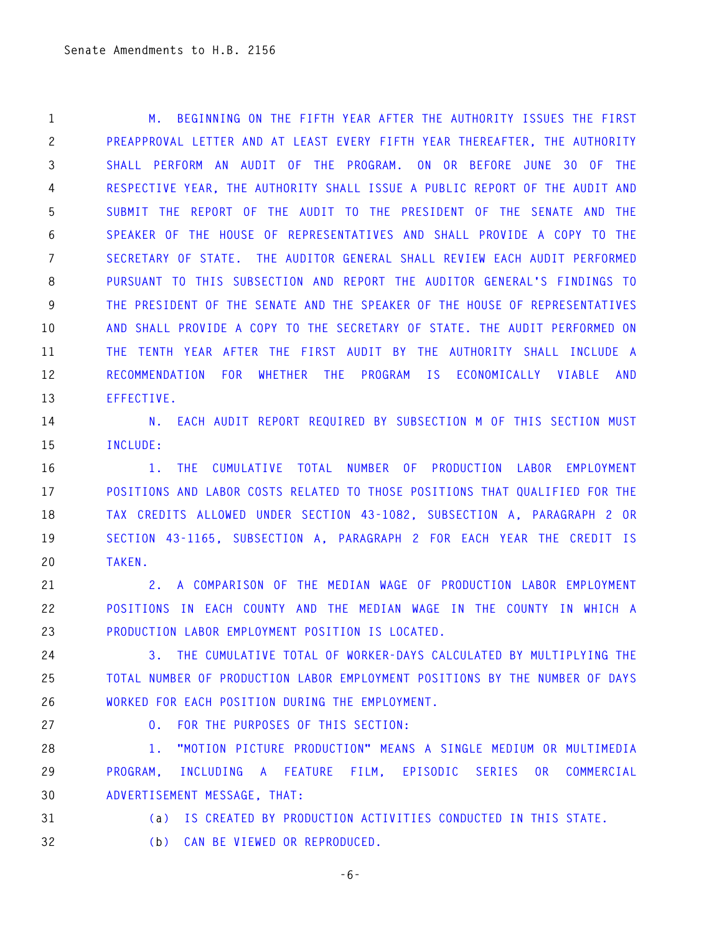**1 M. BEGINNING ON THE FIFTH YEAR AFTER THE AUTHORITY ISSUES THE FIRST 2 PREAPPROVAL LETTER AND AT LEAST EVERY FIFTH YEAR THEREAFTER, THE AUTHORITY 3 SHALL PERFORM AN AUDIT OF THE PROGRAM. ON OR BEFORE JUNE 30 OF THE 4 RESPECTIVE YEAR, THE AUTHORITY SHALL ISSUE A PUBLIC REPORT OF THE AUDIT AND 5 SUBMIT THE REPORT OF THE AUDIT TO THE PRESIDENT OF THE SENATE AND THE 6 SPEAKER OF THE HOUSE OF REPRESENTATIVES AND SHALL PROVIDE A COPY TO THE 7 SECRETARY OF STATE. THE AUDITOR GENERAL SHALL REVIEW EACH AUDIT PERFORMED 8 PURSUANT TO THIS SUBSECTION AND REPORT THE AUDITOR GENERAL'S FINDINGS TO 9 THE PRESIDENT OF THE SENATE AND THE SPEAKER OF THE HOUSE OF REPRESENTATIVES 10 AND SHALL PROVIDE A COPY TO THE SECRETARY OF STATE. THE AUDIT PERFORMED ON 11 THE TENTH YEAR AFTER THE FIRST AUDIT BY THE AUTHORITY SHALL INCLUDE A 12 RECOMMENDATION FOR WHETHER THE PROGRAM IS ECONOMICALLY VIABLE AND 13 EFFECTIVE.** 

14 N. EACH AUDIT REPORT REQUIRED BY SUBSECTION M OF THIS SECTION MUST **15 INCLUDE:** 

**16 1. THE CUMULATIVE TOTAL NUMBER OF PRODUCTION LABOR EMPLOYMENT 17 POSITIONS AND LABOR COSTS RELATED TO THOSE POSITIONS THAT QUALIFIED FOR THE 18 TAX CREDITS ALLOWED UNDER SECTION 43-1082, SUBSECTION A, PARAGRAPH 2 OR 19 SECTION 43-1165, SUBSECTION A, PARAGRAPH 2 FOR EACH YEAR THE CREDIT IS 20 TAKEN.** 

**21 2. A COMPARISON OF THE MEDIAN WAGE OF PRODUCTION LABOR EMPLOYMENT 22 POSITIONS IN EACH COUNTY AND THE MEDIAN WAGE IN THE COUNTY IN WHICH A 23 PRODUCTION LABOR EMPLOYMENT POSITION IS LOCATED.** 

**24 3. THE CUMULATIVE TOTAL OF WORKER-DAYS CALCULATED BY MULTIPLYING THE 25 TOTAL NUMBER OF PRODUCTION LABOR EMPLOYMENT POSITIONS BY THE NUMBER OF DAYS 26 WORKED FOR EACH POSITION DURING THE EMPLOYMENT.** 

**27 O. FOR THE PURPOSES OF THIS SECTION:** 

**28 1. "MOTION PICTURE PRODUCTION" MEANS A SINGLE MEDIUM OR MULTIMEDIA 29 PROGRAM, INCLUDING A FEATURE FILM, EPISODIC SERIES OR COMMERCIAL 30 ADVERTISEMENT MESSAGE, THAT:** 

**31 (a) IS CREATED BY PRODUCTION ACTIVITIES CONDUCTED IN THIS STATE.** 

**32 (b) CAN BE VIEWED OR REPRODUCED.** 

**-6-**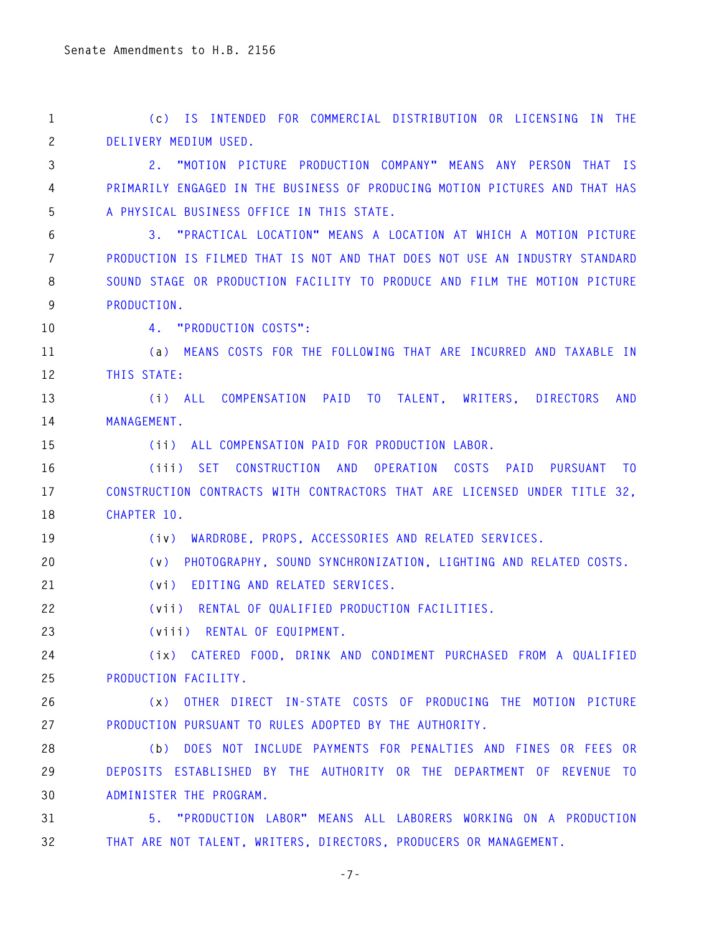**1 (c) IS INTENDED FOR COMMERCIAL DISTRIBUTION OR LICENSING IN THE 2 DELIVERY MEDIUM USED.** 

**3 2. "MOTION PICTURE PRODUCTION COMPANY" MEANS ANY PERSON THAT IS 4 PRIMARILY ENGAGED IN THE BUSINESS OF PRODUCING MOTION PICTURES AND THAT HAS 5 A PHYSICAL BUSINESS OFFICE IN THIS STATE.** 

**6 3. "PRACTICAL LOCATION" MEANS A LOCATION AT WHICH A MOTION PICTURE 7 PRODUCTION IS FILMED THAT IS NOT AND THAT DOES NOT USE AN INDUSTRY STANDARD 8 SOUND STAGE OR PRODUCTION FACILITY TO PRODUCE AND FILM THE MOTION PICTURE 9 PRODUCTION.** 

**10 4. "PRODUCTION COSTS":** 

**11 (a) MEANS COSTS FOR THE FOLLOWING THAT ARE INCURRED AND TAXABLE IN 12 THIS STATE:** 

**13 (i) ALL COMPENSATION PAID TO TALENT, WRITERS, DIRECTORS AND 14 MANAGEMENT.** 

**15 (ii) ALL COMPENSATION PAID FOR PRODUCTION LABOR.** 

**16 (iii) SET CONSTRUCTION AND OPERATION COSTS PAID PURSUANT TO 17 CONSTRUCTION CONTRACTS WITH CONTRACTORS THAT ARE LICENSED UNDER TITLE 32, 18 CHAPTER 10.** 

**19 (iv) WARDROBE, PROPS, ACCESSORIES AND RELATED SERVICES.** 

**20 (v) PHOTOGRAPHY, SOUND SYNCHRONIZATION, LIGHTING AND RELATED COSTS.** 

**21 (vi) EDITING AND RELATED SERVICES.** 

**22 (vii) RENTAL OF QUALIFIED PRODUCTION FACILITIES.** 

**23 (viii) RENTAL OF EQUIPMENT.** 

**24 (ix) CATERED FOOD, DRINK AND CONDIMENT PURCHASED FROM A QUALIFIED 25 PRODUCTION FACILITY.** 

**26 (x) OTHER DIRECT IN-STATE COSTS OF PRODUCING THE MOTION PICTURE 27 PRODUCTION PURSUANT TO RULES ADOPTED BY THE AUTHORITY.** 

**28 (b) DOES NOT INCLUDE PAYMENTS FOR PENALTIES AND FINES OR FEES OR 29 DEPOSITS ESTABLISHED BY THE AUTHORITY OR THE DEPARTMENT OF REVENUE TO 30 ADMINISTER THE PROGRAM.** 

**31 5. "PRODUCTION LABOR" MEANS ALL LABORERS WORKING ON A PRODUCTION 32 THAT ARE NOT TALENT, WRITERS, DIRECTORS, PRODUCERS OR MANAGEMENT.** 

**-7-**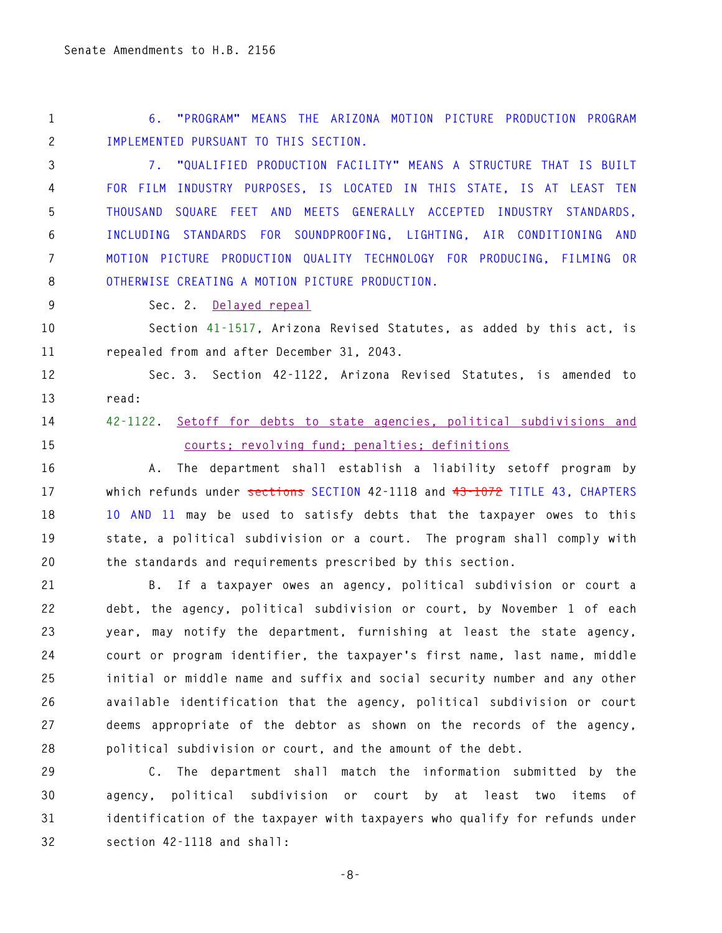**1 6. "PROGRAM" MEANS THE ARIZONA MOTION PICTURE PRODUCTION PROGRAM 2 IMPLEMENTED PURSUANT TO THIS SECTION.** 

**3 7. "QUALIFIED PRODUCTION FACILITY" MEANS A STRUCTURE THAT IS BUILT 4 FOR FILM INDUSTRY PURPOSES, IS LOCATED IN THIS STATE, IS AT LEAST TEN 5 THOUSAND SQUARE FEET AND MEETS GENERALLY ACCEPTED INDUSTRY STANDARDS, 6 INCLUDING STANDARDS FOR SOUNDPROOFING, LIGHTING, AIR CONDITIONING AND 7 MOTION PICTURE PRODUCTION QUALITY TECHNOLOGY FOR PRODUCING, FILMING OR 8 OTHERWISE CREATING A MOTION PICTURE PRODUCTION.** 

**9 Sec. 2. Delayed repeal**

**10 Section 41-1517, Arizona Revised Statutes, as added by this act, is 11 repealed from and after December 31, 2043.** 

**12 Sec. 3. Section 42-1122, Arizona Revised Statutes, is amended to 13 read:** 

### **14 42-1122. Setoff for debts to state agencies, political subdivisions and 15 courts; revolving fund; penalties; definitions**

**16 A. The department shall establish a liability setoff program by 17 which refunds under sections SECTION 42-1118 and 43-1072 TITLE 43, CHAPTERS 18 10 AND 11 may be used to satisfy debts that the taxpayer owes to this 19 state, a political subdivision or a court. The program shall comply with 20 the standards and requirements prescribed by this section.** 

**21 B. If a taxpayer owes an agency, political subdivision or court a 22 debt, the agency, political subdivision or court, by November 1 of each 23 year, may notify the department, furnishing at least the state agency, 24 court or program identifier, the taxpayer's first name, last name, middle 25 initial or middle name and suffix and social security number and any other 26 available identification that the agency, political subdivision or court 27 deems appropriate of the debtor as shown on the records of the agency, 28 political subdivision or court, and the amount of the debt.** 

**29 C. The department shall match the information submitted by the 30 agency, political subdivision or court by at least two items of 31 identification of the taxpayer with taxpayers who qualify for refunds under 32 section 42-1118 and shall:** 

**-8-**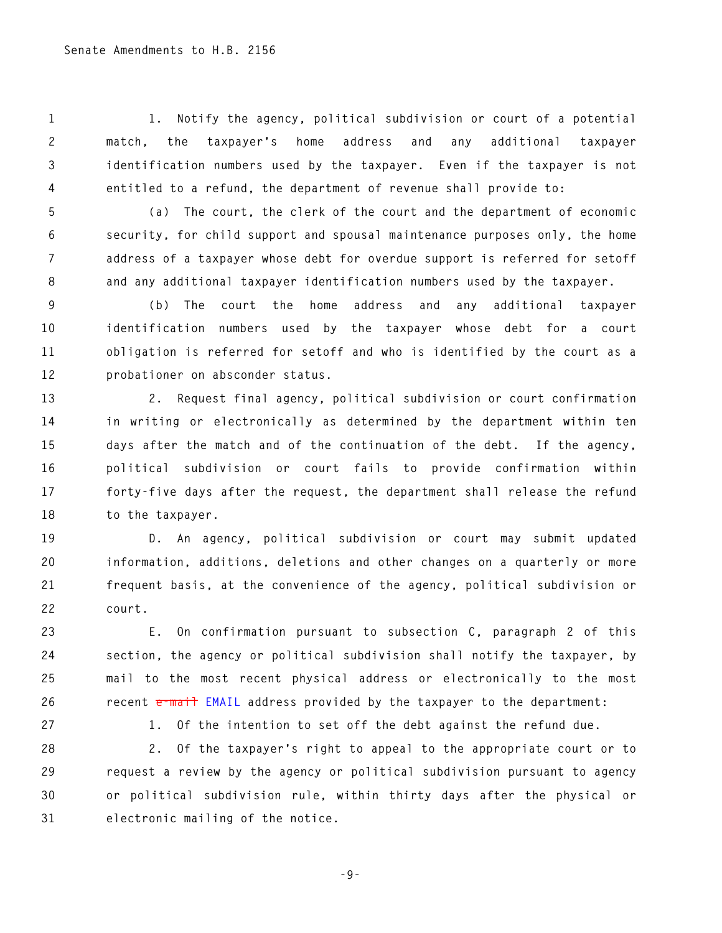**1 1. Notify the agency, political subdivision or court of a potential 2 match, the taxpayer's home address and any additional taxpayer 3 identification numbers used by the taxpayer. Even if the taxpayer is not 4 entitled to a refund, the department of revenue shall provide to:** 

**5 (a) The court, the clerk of the court and the department of economic 6 security, for child support and spousal maintenance purposes only, the home 7 address of a taxpayer whose debt for overdue support is referred for setoff 8 and any additional taxpayer identification numbers used by the taxpayer.** 

**9 (b) The court the home address and any additional taxpayer 10 identification numbers used by the taxpayer whose debt for a court 11 obligation is referred for setoff and who is identified by the court as a 12 probationer on absconder status.** 

**13 2. Request final agency, political subdivision or court confirmation 14 in writing or electronically as determined by the department within ten 15 days after the match and of the continuation of the debt. If the agency, 16 political subdivision or court fails to provide confirmation within 17 forty-five days after the request, the department shall release the refund 18 to the taxpayer.** 

**19 D. An agency, political subdivision or court may submit updated 20 information, additions, deletions and other changes on a quarterly or more 21 frequent basis, at the convenience of the agency, political subdivision or 22 court.** 

**23 E. On confirmation pursuant to subsection C, paragraph 2 of this 24 section, the agency or political subdivision shall notify the taxpayer, by 25 mail to the most recent physical address or electronically to the most**  26 **recent <del>e-mail</del> EMAIL address provided by the taxpayer to the department:** 

**27 1. Of the intention to set off the debt against the refund due.** 

**28 2. Of the taxpayer's right to appeal to the appropriate court or to 29 request a review by the agency or political subdivision pursuant to agency 30 or political subdivision rule, within thirty days after the physical or 31 electronic mailing of the notice.** 

**-9-**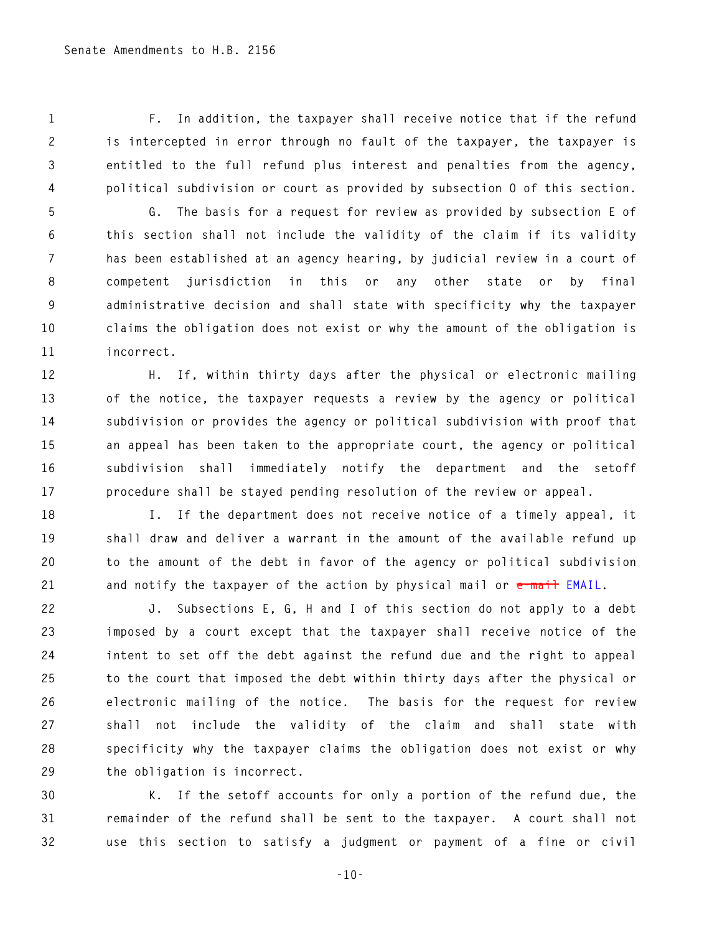**1 F. In addition, the taxpayer shall receive notice that if the refund 2 is intercepted in error through no fault of the taxpayer, the taxpayer is 3 entitled to the full refund plus interest and penalties from the agency, 4 political subdivision or court as provided by subsection O of this section.** 

**5 G. The basis for a request for review as provided by subsection E of 6 this section shall not include the validity of the claim if its validity 7 has been established at an agency hearing, by judicial review in a court of 8 competent jurisdiction in this or any other state or by final 9 administrative decision and shall state with specificity why the taxpayer 10 claims the obligation does not exist or why the amount of the obligation is 11 incorrect.** 

**12 H. If, within thirty days after the physical or electronic mailing 13 of the notice, the taxpayer requests a review by the agency or political 14 subdivision or provides the agency or political subdivision with proof that 15 an appeal has been taken to the appropriate court, the agency or political 16 subdivision shall immediately notify the department and the setoff 17 procedure shall be stayed pending resolution of the review or appeal.** 

**18 I. If the department does not receive notice of a timely appeal, it 19 shall draw and deliver a warrant in the amount of the available refund up 20 to the amount of the debt in favor of the agency or political subdivision 21 and notify the taxpayer of the action by physical mail or e-mail EMAIL.** 

**22 J. Subsections E, G, H and I of this section do not apply to a debt 23 imposed by a court except that the taxpayer shall receive notice of the 24 intent to set off the debt against the refund due and the right to appeal 25 to the court that imposed the debt within thirty days after the physical or 26 electronic mailing of the notice. The basis for the request for review 27 shall not include the validity of the claim and shall state with 28 specificity why the taxpayer claims the obligation does not exist or why 29 the obligation is incorrect.** 

**30 K. If the setoff accounts for only a portion of the refund due, the 31 remainder of the refund shall be sent to the taxpayer. A court shall not 32 use this section to satisfy a judgment or payment of a fine or civil** 

**-10-**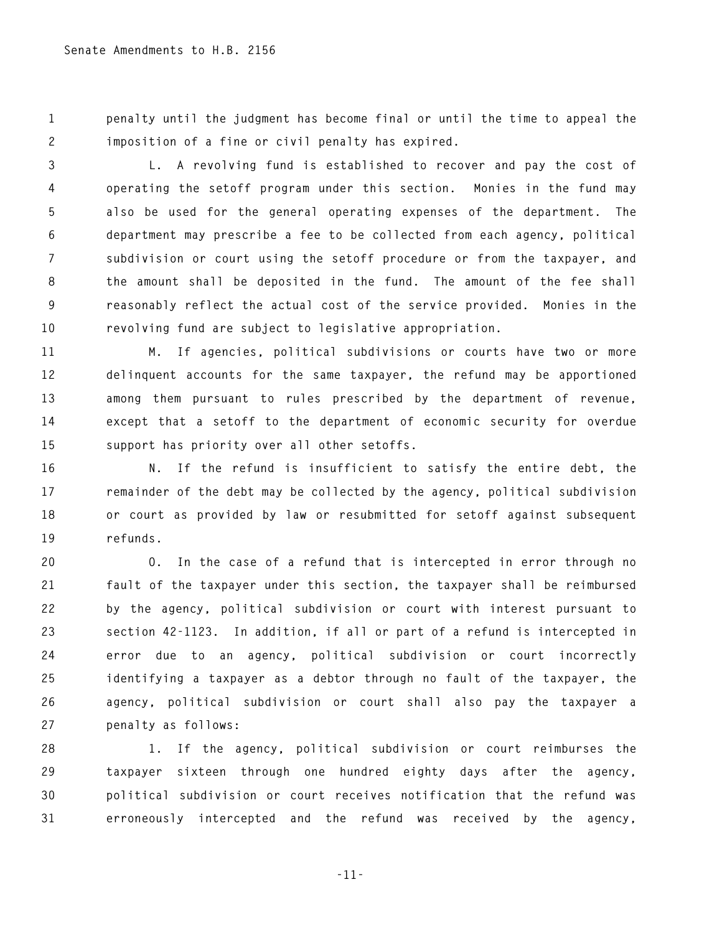**1 penalty until the judgment has become final or until the time to appeal the 2 imposition of a fine or civil penalty has expired.** 

**3 L. A revolving fund is established to recover and pay the cost of 4 operating the setoff program under this section. Monies in the fund may 5 also be used for the general operating expenses of the department. The 6 department may prescribe a fee to be collected from each agency, political 7 subdivision or court using the setoff procedure or from the taxpayer, and 8 the amount shall be deposited in the fund. The amount of the fee shall 9 reasonably reflect the actual cost of the service provided. Monies in the 10 revolving fund are subject to legislative appropriation.** 

**11 M. If agencies, political subdivisions or courts have two or more 12 delinquent accounts for the same taxpayer, the refund may be apportioned 13 among them pursuant to rules prescribed by the department of revenue, 14 except that a setoff to the department of economic security for overdue 15 support has priority over all other setoffs.** 

**16 N. If the refund is insufficient to satisfy the entire debt, the 17 remainder of the debt may be collected by the agency, political subdivision 18 or court as provided by law or resubmitted for setoff against subsequent 19 refunds.** 

**20 O. In the case of a refund that is intercepted in error through no 21 fault of the taxpayer under this section, the taxpayer shall be reimbursed 22 by the agency, political subdivision or court with interest pursuant to 23 section 42-1123. In addition, if all or part of a refund is intercepted in 24 error due to an agency, political subdivision or court incorrectly 25 identifying a taxpayer as a debtor through no fault of the taxpayer, the 26 agency, political subdivision or court shall also pay the taxpayer a 27 penalty as follows:** 

**28 1. If the agency, political subdivision or court reimburses the 29 taxpayer sixteen through one hundred eighty days after the agency, 30 political subdivision or court receives notification that the refund was 31 erroneously intercepted and the refund was received by the agency,** 

**-11-**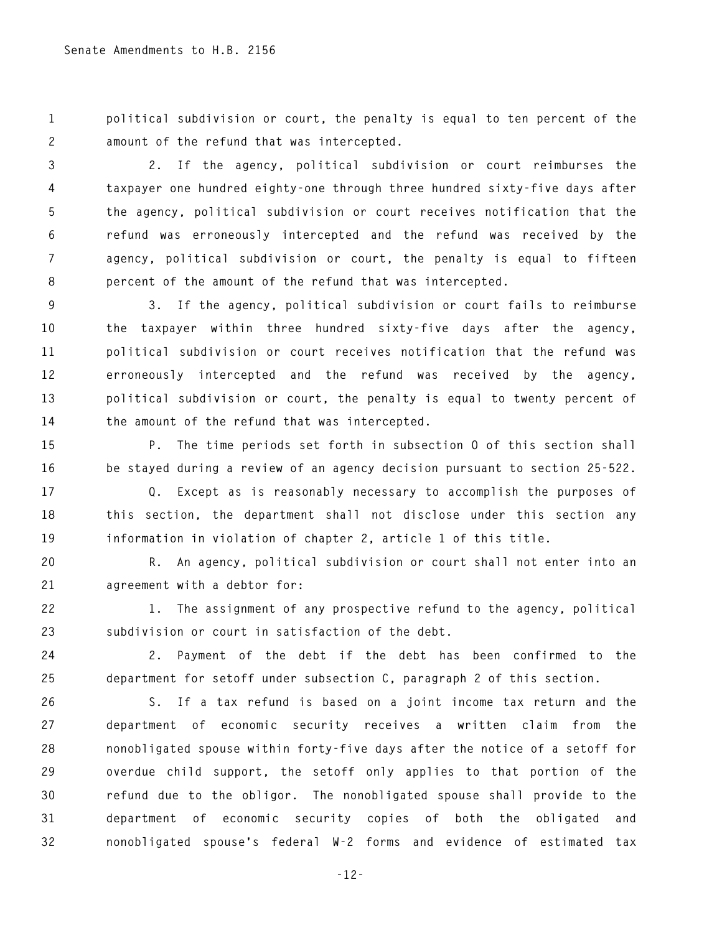**1 political subdivision or court, the penalty is equal to ten percent of the 2 amount of the refund that was intercepted.** 

**3 2. If the agency, political subdivision or court reimburses the 4 taxpayer one hundred eighty-one through three hundred sixty-five days after 5 the agency, political subdivision or court receives notification that the 6 refund was erroneously intercepted and the refund was received by the 7 agency, political subdivision or court, the penalty is equal to fifteen 8 percent of the amount of the refund that was intercepted.** 

**9 3. If the agency, political subdivision or court fails to reimburse 10 the taxpayer within three hundred sixty-five days after the agency, 11 political subdivision or court receives notification that the refund was 12 erroneously intercepted and the refund was received by the agency, 13 political subdivision or court, the penalty is equal to twenty percent of 14 the amount of the refund that was intercepted.** 

**15 P. The time periods set forth in subsection O of this section shall 16 be stayed during a review of an agency decision pursuant to section 25-522.** 

**17 Q. Except as is reasonably necessary to accomplish the purposes of 18 this section, the department shall not disclose under this section any 19 information in violation of chapter 2, article 1 of this title.** 

**20 R. An agency, political subdivision or court shall not enter into an 21 agreement with a debtor for:** 

**22 1. The assignment of any prospective refund to the agency, political 23 subdivision or court in satisfaction of the debt.** 

**24 2. Payment of the debt if the debt has been confirmed to the 25 department for setoff under subsection C, paragraph 2 of this section.** 

**26 S. If a tax refund is based on a joint income tax return and the 27 department of economic security receives a written claim from the 28 nonobligated spouse within forty-five days after the notice of a setoff for 29 overdue child support, the setoff only applies to that portion of the 30 refund due to the obligor. The nonobligated spouse shall provide to the 31 department of economic security copies of both the obligated and 32 nonobligated spouse's federal W-2 forms and evidence of estimated tax** 

**-12-**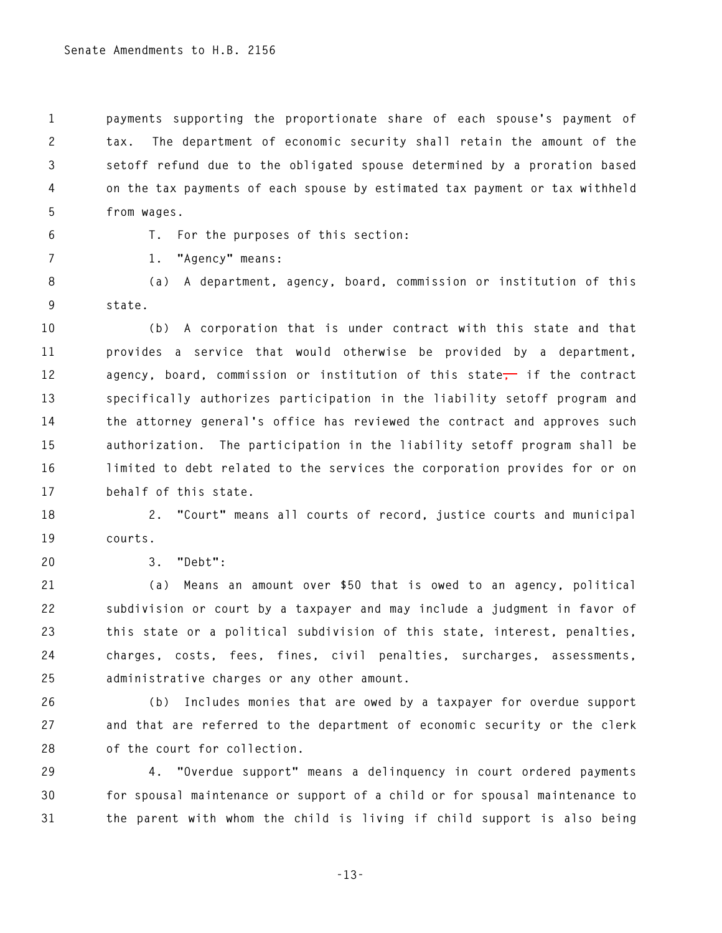**1 payments supporting the proportionate share of each spouse's payment of 2 tax. The department of economic security shall retain the amount of the 3 setoff refund due to the obligated spouse determined by a proration based 4 on the tax payments of each spouse by estimated tax payment or tax withheld 5 from wages.** 

**6 T. For the purposes of this section:** 

**7 1. "Agency" means:** 

**8 (a) A department, agency, board, commission or institution of this 9 state.** 

**10 (b) A corporation that is under contract with this state and that 11 provides a service that would otherwise be provided by a department,**  12 agency, board, commission or institution of this state<sup>1</sup> if the contract **13 specifically authorizes participation in the liability setoff program and 14 the attorney general's office has reviewed the contract and approves such 15 authorization. The participation in the liability setoff program shall be 16 limited to debt related to the services the corporation provides for or on 17 behalf of this state.** 

**18 2. "Court" means all courts of record, justice courts and municipal 19 courts.** 

**20 3. "Debt":** 

**21 (a) Means an amount over \$50 that is owed to an agency, political 22 subdivision or court by a taxpayer and may include a judgment in favor of 23 this state or a political subdivision of this state, interest, penalties, 24 charges, costs, fees, fines, civil penalties, surcharges, assessments, 25 administrative charges or any other amount.** 

**26 (b) Includes monies that are owed by a taxpayer for overdue support 27 and that are referred to the department of economic security or the clerk 28 of the court for collection.** 

**29 4. "Overdue support" means a delinquency in court ordered payments 30 for spousal maintenance or support of a child or for spousal maintenance to 31 the parent with whom the child is living if child support is also being** 

**-13-**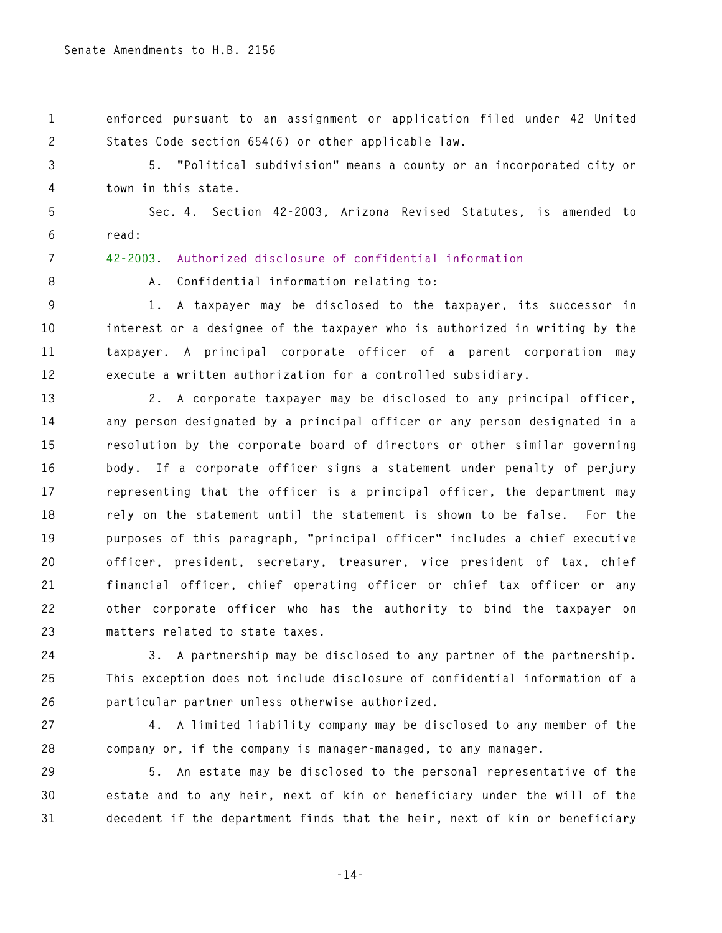**1 enforced pursuant to an assignment or application filed under 42 United 2 States Code section 654(6) or other applicable law.** 

**3 5. "Political subdivision" means a county or an incorporated city or 4 town in this state.** 

**5 Sec. 4. Section 42-2003, Arizona Revised Statutes, is amended to 6 read:** 

**7 42-2003. Authorized disclosure of confidential information**

**8 A. Confidential information relating to:** 

**9 1. A taxpayer may be disclosed to the taxpayer, its successor in 10 interest or a designee of the taxpayer who is authorized in writing by the 11 taxpayer. A principal corporate officer of a parent corporation may 12 execute a written authorization for a controlled subsidiary.** 

**13 2. A corporate taxpayer may be disclosed to any principal officer, 14 any person designated by a principal officer or any person designated in a 15 resolution by the corporate board of directors or other similar governing 16 body. If a corporate officer signs a statement under penalty of perjury 17 representing that the officer is a principal officer, the department may 18 rely on the statement until the statement is shown to be false. For the 19 purposes of this paragraph, "principal officer" includes a chief executive 20 officer, president, secretary, treasurer, vice president of tax, chief 21 financial officer, chief operating officer or chief tax officer or any 22 other corporate officer who has the authority to bind the taxpayer on 23 matters related to state taxes.** 

**24 3. A partnership may be disclosed to any partner of the partnership. 25 This exception does not include disclosure of confidential information of a 26 particular partner unless otherwise authorized.** 

**27 4. A limited liability company may be disclosed to any member of the 28 company or, if the company is manager-managed, to any manager.** 

**29 5. An estate may be disclosed to the personal representative of the 30 estate and to any heir, next of kin or beneficiary under the will of the 31 decedent if the department finds that the heir, next of kin or beneficiary** 

**-14-**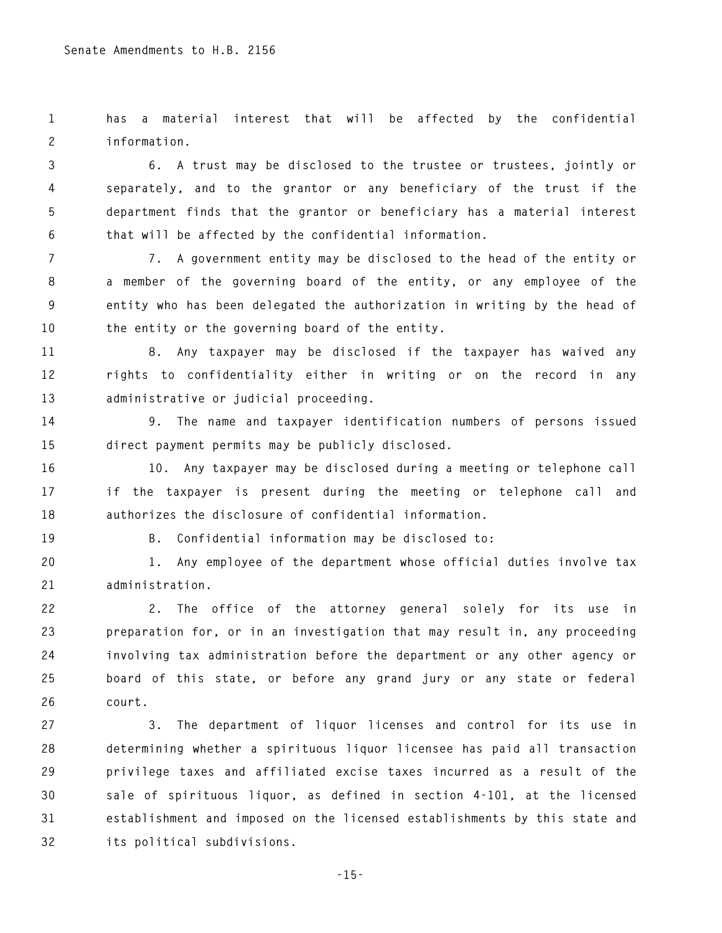**1 has a material interest that will be affected by the confidential 2 information.** 

**3 6. A trust may be disclosed to the trustee or trustees, jointly or 4 separately, and to the grantor or any beneficiary of the trust if the 5 department finds that the grantor or beneficiary has a material interest 6 that will be affected by the confidential information.** 

**7 7. A government entity may be disclosed to the head of the entity or 8 a member of the governing board of the entity, or any employee of the 9 entity who has been delegated the authorization in writing by the head of 10 the entity or the governing board of the entity.** 

**11 8. Any taxpayer may be disclosed if the taxpayer has waived any 12 rights to confidentiality either in writing or on the record in any 13 administrative or judicial proceeding.** 

**14 9. The name and taxpayer identification numbers of persons issued 15 direct payment permits may be publicly disclosed.** 

**16 10. Any taxpayer may be disclosed during a meeting or telephone call 17 if the taxpayer is present during the meeting or telephone call and 18 authorizes the disclosure of confidential information.** 

**19 B. Confidential information may be disclosed to:** 

**20 1. Any employee of the department whose official duties involve tax 21 administration.** 

**22 2. The office of the attorney general solely for its use in 23 preparation for, or in an investigation that may result in, any proceeding 24 involving tax administration before the department or any other agency or 25 board of this state, or before any grand jury or any state or federal 26 court.** 

**27 3. The department of liquor licenses and control for its use in 28 determining whether a spirituous liquor licensee has paid all transaction 29 privilege taxes and affiliated excise taxes incurred as a result of the 30 sale of spirituous liquor, as defined in section 4-101, at the licensed 31 establishment and imposed on the licensed establishments by this state and 32 its political subdivisions.**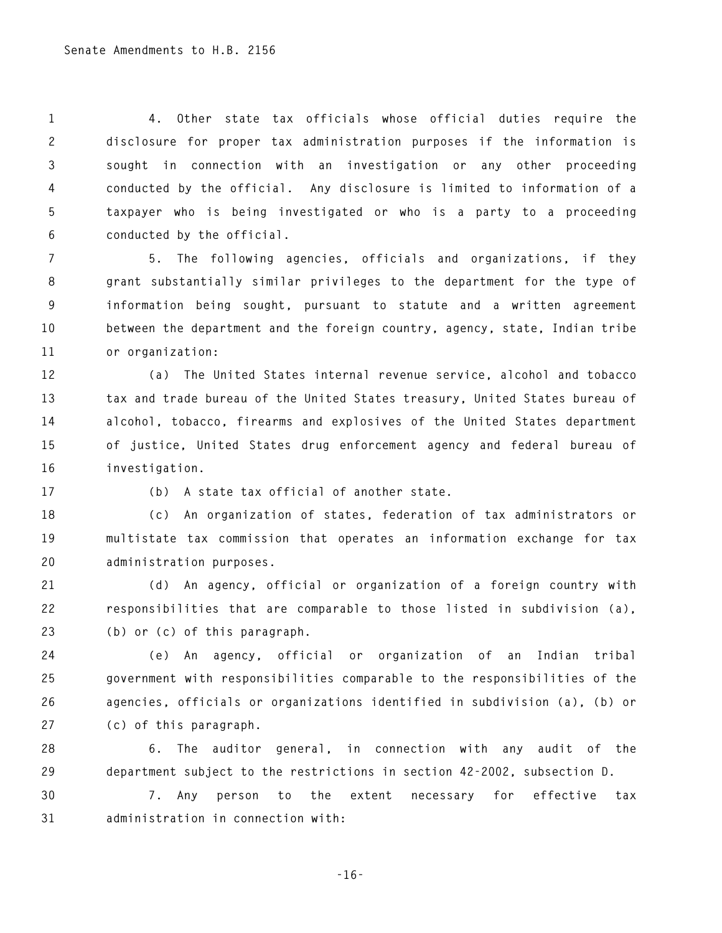**1 4. Other state tax officials whose official duties require the 2 disclosure for proper tax administration purposes if the information is 3 sought in connection with an investigation or any other proceeding 4 conducted by the official. Any disclosure is limited to information of a 5 taxpayer who is being investigated or who is a party to a proceeding 6 conducted by the official.** 

**7 5. The following agencies, officials and organizations, if they 8 grant substantially similar privileges to the department for the type of 9 information being sought, pursuant to statute and a written agreement 10 between the department and the foreign country, agency, state, Indian tribe 11 or organization:** 

**12 (a) The United States internal revenue service, alcohol and tobacco 13 tax and trade bureau of the United States treasury, United States bureau of 14 alcohol, tobacco, firearms and explosives of the United States department 15 of justice, United States drug enforcement agency and federal bureau of 16 investigation.** 

**17 (b) A state tax official of another state.** 

**18 (c) An organization of states, federation of tax administrators or 19 multistate tax commission that operates an information exchange for tax 20 administration purposes.** 

**21 (d) An agency, official or organization of a foreign country with 22 responsibilities that are comparable to those listed in subdivision (a), 23 (b) or (c) of this paragraph.** 

**24 (e) An agency, official or organization of an Indian tribal 25 government with responsibilities comparable to the responsibilities of the 26 agencies, officials or organizations identified in subdivision (a), (b) or 27 (c) of this paragraph.** 

**28 6. The auditor general, in connection with any audit of the 29 department subject to the restrictions in section 42-2002, subsection D.** 

**30 7. Any person to the extent necessary for effective tax 31 administration in connection with:** 

**-16-**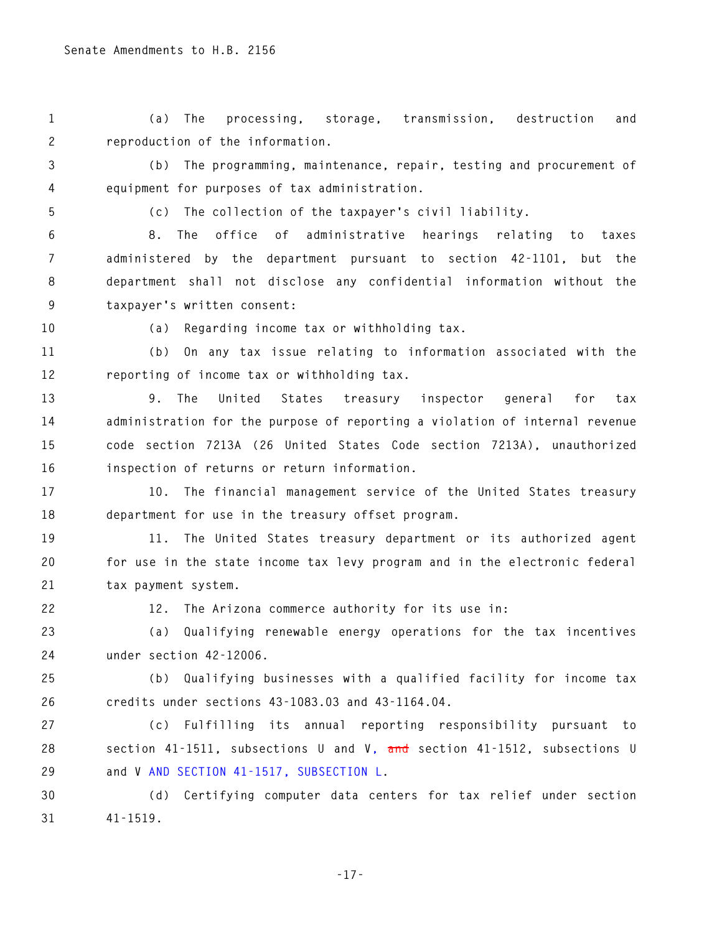**1 (a) The processing, storage, transmission, destruction and 2 reproduction of the information.** 

**3 (b) The programming, maintenance, repair, testing and procurement of 4 equipment for purposes of tax administration.** 

**5 (c) The collection of the taxpayer's civil liability.** 

**6 8. The office of administrative hearings relating to taxes 7 administered by the department pursuant to section 42-1101, but the 8 department shall not disclose any confidential information without the 9 taxpayer's written consent:** 

**10 (a) Regarding income tax or withholding tax.** 

**11 (b) On any tax issue relating to information associated with the 12 reporting of income tax or withholding tax.** 

**13 9. The United States treasury inspector general for tax 14 administration for the purpose of reporting a violation of internal revenue 15 code section 7213A (26 United States Code section 7213A), unauthorized 16 inspection of returns or return information.** 

**17 10. The financial management service of the United States treasury 18 department for use in the treasury offset program.** 

**19 11. The United States treasury department or its authorized agent 20 for use in the state income tax levy program and in the electronic federal 21 tax payment system.** 

**22 12. The Arizona commerce authority for its use in:** 

**23 (a) Qualifying renewable energy operations for the tax incentives 24 under section 42-12006.** 

**25 (b) Qualifying businesses with a qualified facility for income tax 26 credits under sections 43-1083.03 and 43-1164.04.** 

**27 (c) Fulfilling its annual reporting responsibility pursuant to 28 section 41-1511, subsections U and V, and section 41-1512, subsections U 29 and V AND SECTION 41-1517, SUBSECTION L.** 

**30 (d) Certifying computer data centers for tax relief under section 31 41-1519.** 

**-17-**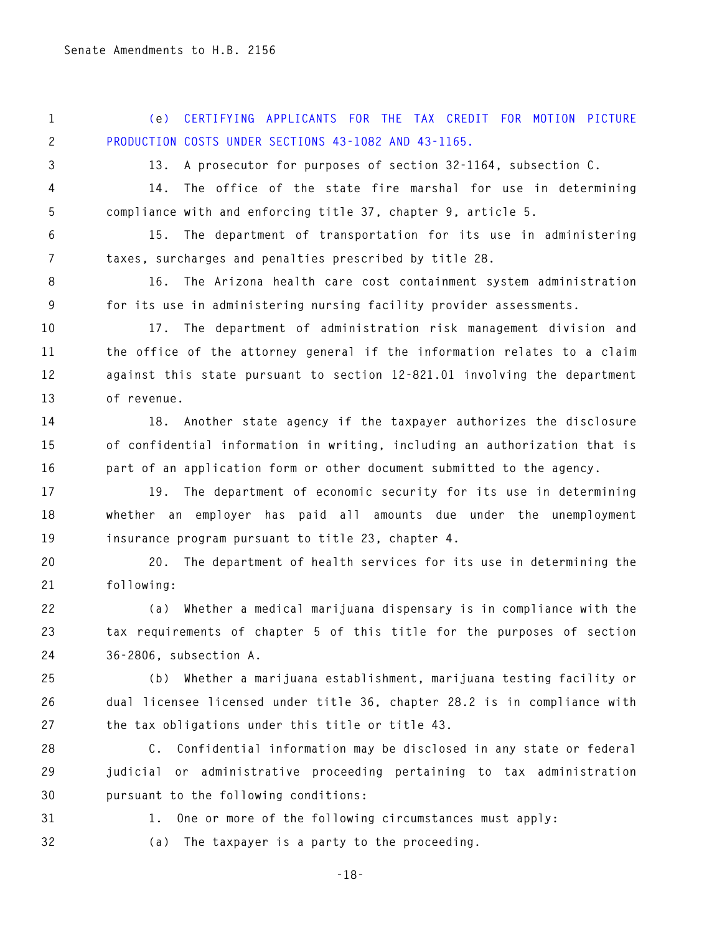**1 (e) CERTIFYING APPLICANTS FOR THE TAX CREDIT FOR MOTION PICTURE 2 PRODUCTION COSTS UNDER SECTIONS 43-1082 AND 43-1165.** 

**3 13. A prosecutor for purposes of section 32-1164, subsection C.** 

**4 14. The office of the state fire marshal for use in determining 5 compliance with and enforcing title 37, chapter 9, article 5.** 

**6 15. The department of transportation for its use in administering 7 taxes, surcharges and penalties prescribed by title 28.** 

**8 16. The Arizona health care cost containment system administration 9 for its use in administering nursing facility provider assessments.** 

**10 17. The department of administration risk management division and 11 the office of the attorney general if the information relates to a claim 12 against this state pursuant to section 12-821.01 involving the department 13 of revenue.** 

**14 18. Another state agency if the taxpayer authorizes the disclosure 15 of confidential information in writing, including an authorization that is 16 part of an application form or other document submitted to the agency.** 

**17 19. The department of economic security for its use in determining 18 whether an employer has paid all amounts due under the unemployment 19 insurance program pursuant to title 23, chapter 4.** 

**20 20. The department of health services for its use in determining the 21 following:** 

**22 (a) Whether a medical marijuana dispensary is in compliance with the 23 tax requirements of chapter 5 of this title for the purposes of section 24 36-2806, subsection A.** 

**25 (b) Whether a marijuana establishment, marijuana testing facility or 26 dual licensee licensed under title 36, chapter 28.2 is in compliance with 27 the tax obligations under this title or title 43.** 

**28 C. Confidential information may be disclosed in any state or federal 29 judicial or administrative proceeding pertaining to tax administration 30 pursuant to the following conditions:** 

**31 1. One or more of the following circumstances must apply:** 

**32 (a) The taxpayer is a party to the proceeding.** 

**-18-**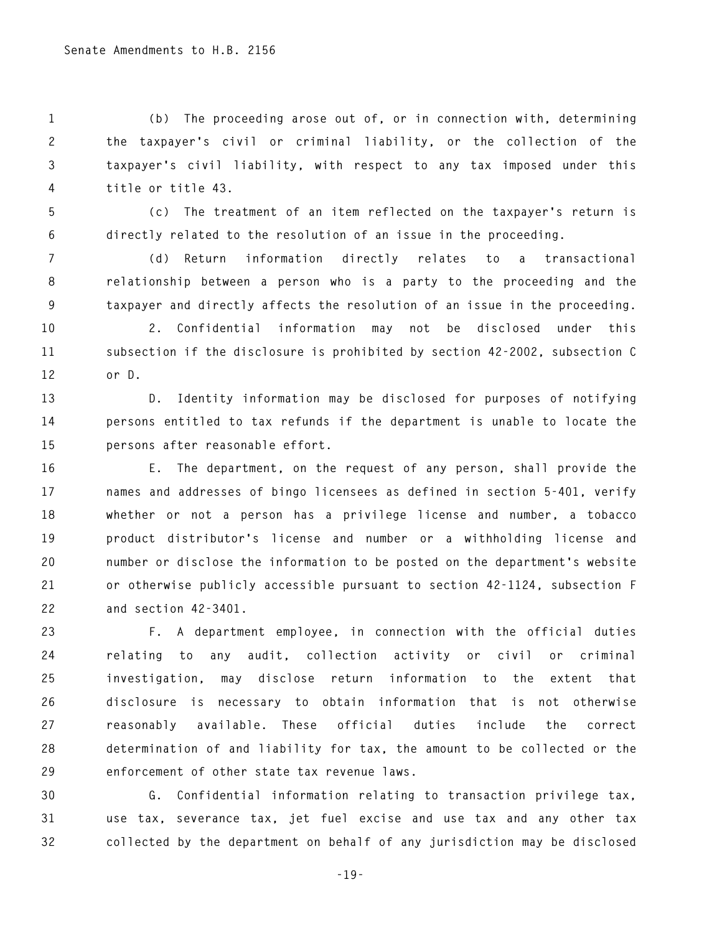**1 (b) The proceeding arose out of, or in connection with, determining 2 the taxpayer's civil or criminal liability, or the collection of the 3 taxpayer's civil liability, with respect to any tax imposed under this 4 title or title 43.** 

**5 (c) The treatment of an item reflected on the taxpayer's return is 6 directly related to the resolution of an issue in the proceeding.** 

**7 (d) Return information directly relates to a transactional 8 relationship between a person who is a party to the proceeding and the 9 taxpayer and directly affects the resolution of an issue in the proceeding.** 

**10 2. Confidential information may not be disclosed under this 11 subsection if the disclosure is prohibited by section 42-2002, subsection C 12 or D.** 

**13 D. Identity information may be disclosed for purposes of notifying 14 persons entitled to tax refunds if the department is unable to locate the 15 persons after reasonable effort.** 

**16 E. The department, on the request of any person, shall provide the 17 names and addresses of bingo licensees as defined in section 5-401, verify 18 whether or not a person has a privilege license and number, a tobacco 19 product distributor's license and number or a withholding license and 20 number or disclose the information to be posted on the department's website 21 or otherwise publicly accessible pursuant to section 42-1124, subsection F 22 and section 42-3401.** 

**23 F. A department employee, in connection with the official duties 24 relating to any audit, collection activity or civil or criminal 25 investigation, may disclose return information to the extent that 26 disclosure is necessary to obtain information that is not otherwise 27 reasonably available. These official duties include the correct 28 determination of and liability for tax, the amount to be collected or the 29 enforcement of other state tax revenue laws.** 

**30 G. Confidential information relating to transaction privilege tax, 31 use tax, severance tax, jet fuel excise and use tax and any other tax 32 collected by the department on behalf of any jurisdiction may be disclosed** 

**-19-**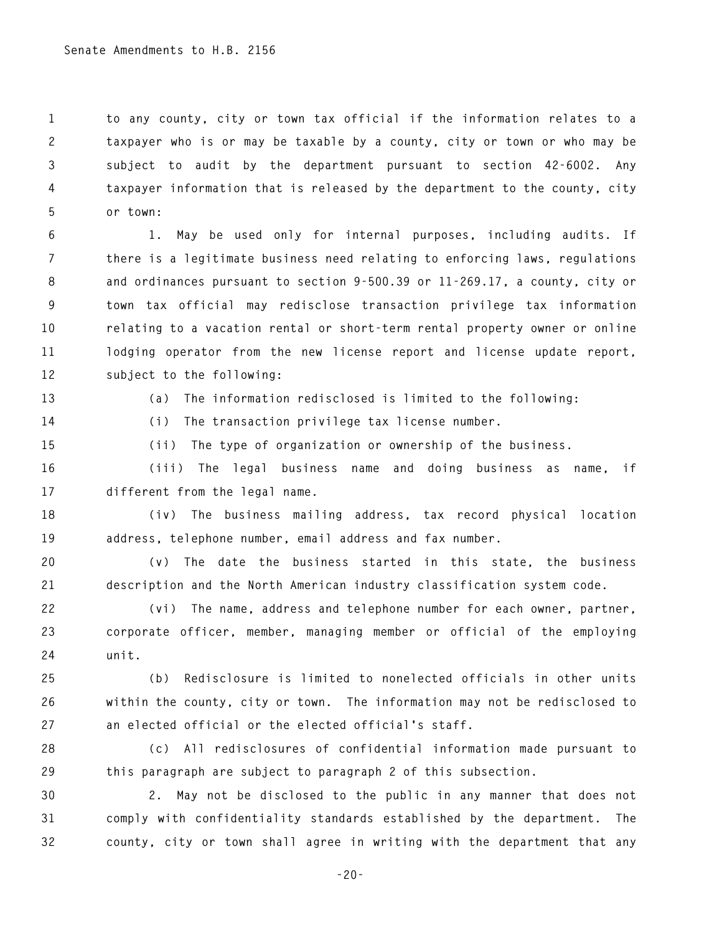**1 to any county, city or town tax official if the information relates to a 2 taxpayer who is or may be taxable by a county, city or town or who may be 3 subject to audit by the department pursuant to section 42-6002. Any 4 taxpayer information that is released by the department to the county, city 5 or town:** 

**6 1. May be used only for internal purposes, including audits. If 7 there is a legitimate business need relating to enforcing laws, regulations 8 and ordinances pursuant to section 9-500.39 or 11-269.17, a county, city or 9 town tax official may redisclose transaction privilege tax information 10 relating to a vacation rental or short-term rental property owner or online 11 lodging operator from the new license report and license update report, 12 subject to the following:** 

**13 (a) The information redisclosed is limited to the following:** 

**14 (i) The transaction privilege tax license number.** 

**15 (ii) The type of organization or ownership of the business.** 

**16 (iii) The legal business name and doing business as name, if 17 different from the legal name.** 

**18 (iv) The business mailing address, tax record physical location 19 address, telephone number, email address and fax number.** 

**20 (v) The date the business started in this state, the business 21 description and the North American industry classification system code.** 

**22 (vi) The name, address and telephone number for each owner, partner, 23 corporate officer, member, managing member or official of the employing 24 unit.** 

**25 (b) Redisclosure is limited to nonelected officials in other units 26 within the county, city or town. The information may not be redisclosed to 27 an elected official or the elected official's staff.** 

**28 (c) All redisclosures of confidential information made pursuant to 29 this paragraph are subject to paragraph 2 of this subsection.** 

**30 2. May not be disclosed to the public in any manner that does not 31 comply with confidentiality standards established by the department. The 32 county, city or town shall agree in writing with the department that any** 

**-20-**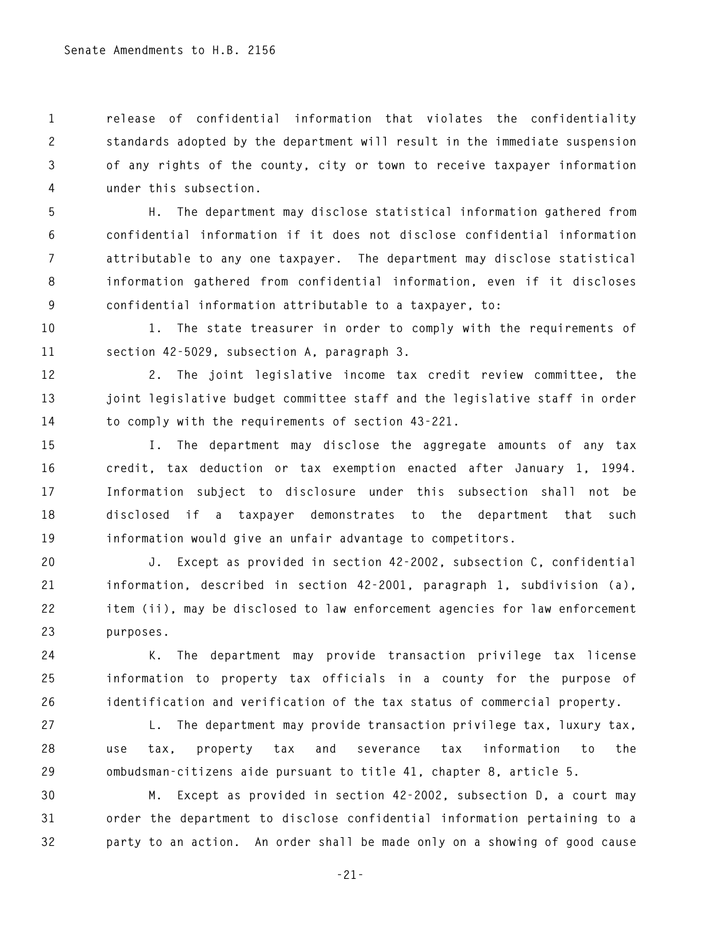**1 release of confidential information that violates the confidentiality 2 standards adopted by the department will result in the immediate suspension 3 of any rights of the county, city or town to receive taxpayer information 4 under this subsection.** 

**5 H. The department may disclose statistical information gathered from 6 confidential information if it does not disclose confidential information 7 attributable to any one taxpayer. The department may disclose statistical 8 information gathered from confidential information, even if it discloses 9 confidential information attributable to a taxpayer, to:** 

**10 1. The state treasurer in order to comply with the requirements of 11 section 42-5029, subsection A, paragraph 3.** 

**12 2. The joint legislative income tax credit review committee, the 13 joint legislative budget committee staff and the legislative staff in order 14 to comply with the requirements of section 43-221.** 

**15 I. The department may disclose the aggregate amounts of any tax 16 credit, tax deduction or tax exemption enacted after January 1, 1994. 17 Information subject to disclosure under this subsection shall not be 18 disclosed if a taxpayer demonstrates to the department that such 19 information would give an unfair advantage to competitors.** 

**20 J. Except as provided in section 42-2002, subsection C, confidential 21 information, described in section 42-2001, paragraph 1, subdivision (a), 22 item (ii), may be disclosed to law enforcement agencies for law enforcement 23 purposes.** 

**24 K. The department may provide transaction privilege tax license 25 information to property tax officials in a county for the purpose of 26 identification and verification of the tax status of commercial property.** 

**27 L. The department may provide transaction privilege tax, luxury tax, 28 use tax, property tax and severance tax information to the 29 ombudsman-citizens aide pursuant to title 41, chapter 8, article 5.** 

**30 M. Except as provided in section 42-2002, subsection D, a court may 31 order the department to disclose confidential information pertaining to a 32 party to an action. An order shall be made only on a showing of good cause** 

**-21-**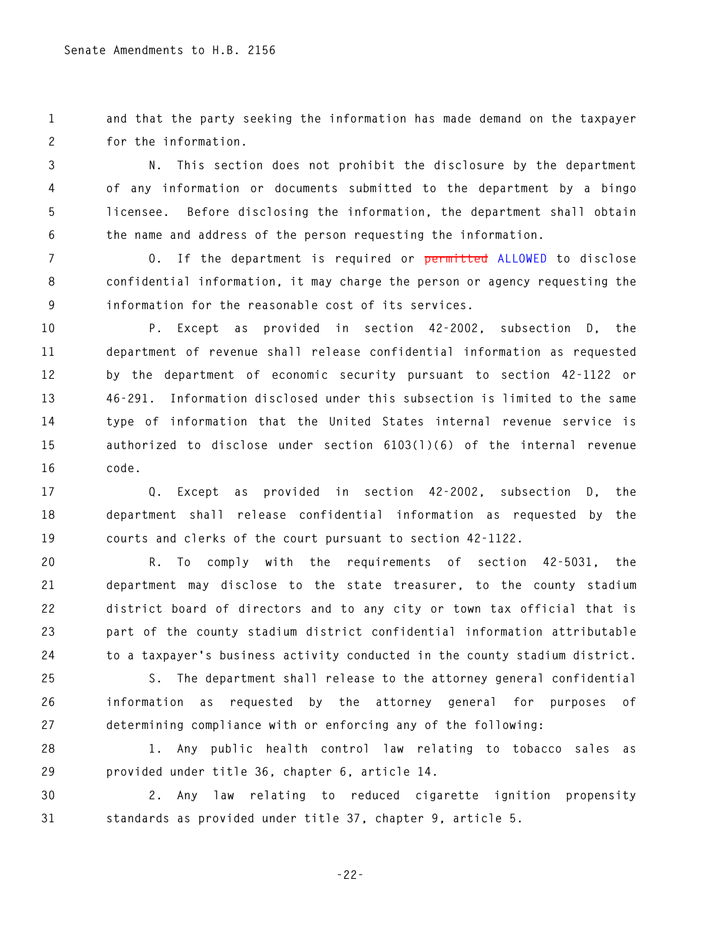**1 and that the party seeking the information has made demand on the taxpayer 2 for the information.** 

**3 N. This section does not prohibit the disclosure by the department 4 of any information or documents submitted to the department by a bingo 5 licensee. Before disclosing the information, the department shall obtain 6 the name and address of the person requesting the information.** 

**7 O. If the department is required or permitted ALLOWED to disclose 8 confidential information, it may charge the person or agency requesting the 9 information for the reasonable cost of its services.** 

**10 P. Except as provided in section 42-2002, subsection D, the 11 department of revenue shall release confidential information as requested 12 by the department of economic security pursuant to section 42-1122 or 13 46-291. Information disclosed under this subsection is limited to the same 14 type of information that the United States internal revenue service is 15 authorized to disclose under section 6103(l)(6) of the internal revenue 16 code.** 

**17 Q. Except as provided in section 42-2002, subsection D, the 18 department shall release confidential information as requested by the 19 courts and clerks of the court pursuant to section 42-1122.** 

**20 R. To comply with the requirements of section 42-5031, the 21 department may disclose to the state treasurer, to the county stadium 22 district board of directors and to any city or town tax official that is 23 part of the county stadium district confidential information attributable 24 to a taxpayer's business activity conducted in the county stadium district.** 

**25 S. The department shall release to the attorney general confidential 26 information as requested by the attorney general for purposes of 27 determining compliance with or enforcing any of the following:** 

**28 1. Any public health control law relating to tobacco sales as 29 provided under title 36, chapter 6, article 14.** 

**30 2. Any law relating to reduced cigarette ignition propensity 31 standards as provided under title 37, chapter 9, article 5.** 

**-22-**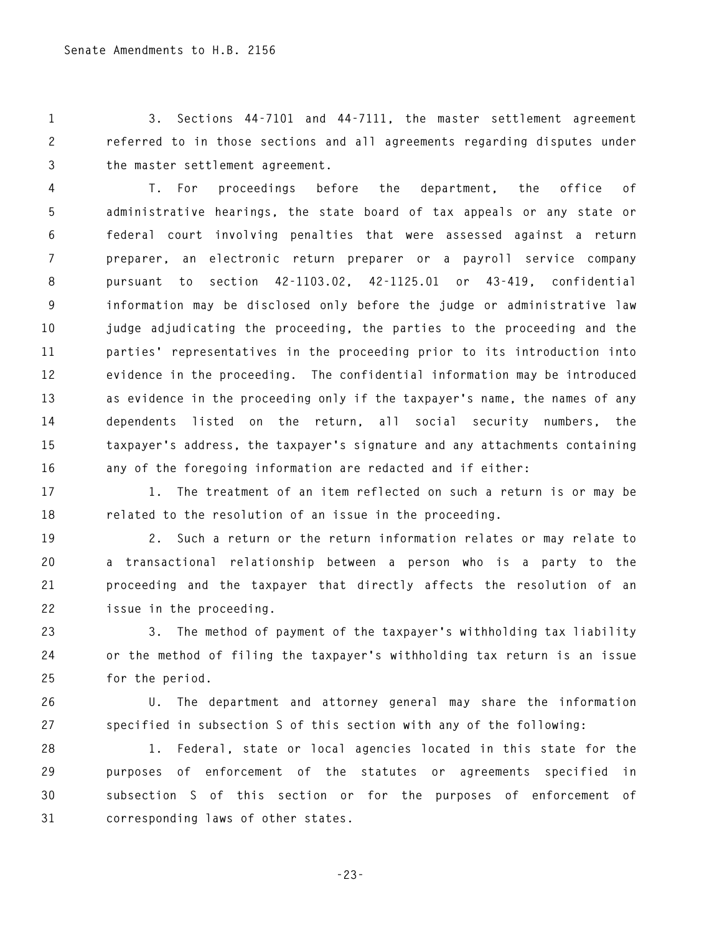**1 3. Sections 44-7101 and 44-7111, the master settlement agreement 2 referred to in those sections and all agreements regarding disputes under 3 the master settlement agreement.** 

**4 T. For proceedings before the department, the office of 5 administrative hearings, the state board of tax appeals or any state or 6 federal court involving penalties that were assessed against a return 7 preparer, an electronic return preparer or a payroll service company 8 pursuant to section 42-1103.02, 42-1125.01 or 43-419, confidential 9 information may be disclosed only before the judge or administrative law 10 judge adjudicating the proceeding, the parties to the proceeding and the 11 parties' representatives in the proceeding prior to its introduction into 12 evidence in the proceeding. The confidential information may be introduced 13 as evidence in the proceeding only if the taxpayer's name, the names of any 14 dependents listed on the return, all social security numbers, the 15 taxpayer's address, the taxpayer's signature and any attachments containing 16 any of the foregoing information are redacted and if either:** 

**17 1. The treatment of an item reflected on such a return is or may be 18 related to the resolution of an issue in the proceeding.** 

**19 2. Such a return or the return information relates or may relate to 20 a transactional relationship between a person who is a party to the 21 proceeding and the taxpayer that directly affects the resolution of an 22 issue in the proceeding.** 

**23 3. The method of payment of the taxpayer's withholding tax liability 24 or the method of filing the taxpayer's withholding tax return is an issue 25 for the period.** 

**26 U. The department and attorney general may share the information 27 specified in subsection S of this section with any of the following:** 

**28 1. Federal, state or local agencies located in this state for the 29 purposes of enforcement of the statutes or agreements specified in 30 subsection S of this section or for the purposes of enforcement of 31 corresponding laws of other states.** 

**-23-**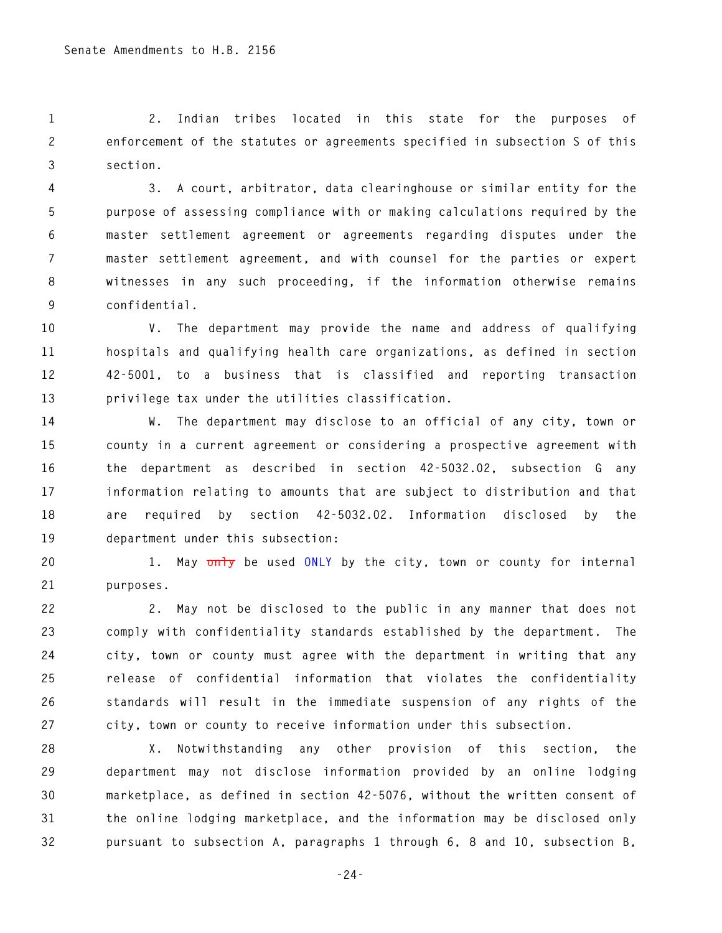**1 2. Indian tribes located in this state for the purposes of 2 enforcement of the statutes or agreements specified in subsection S of this 3 section.** 

**4 3. A court, arbitrator, data clearinghouse or similar entity for the 5 purpose of assessing compliance with or making calculations required by the 6 master settlement agreement or agreements regarding disputes under the 7 master settlement agreement, and with counsel for the parties or expert 8 witnesses in any such proceeding, if the information otherwise remains 9 confidential.** 

**10 V. The department may provide the name and address of qualifying 11 hospitals and qualifying health care organizations, as defined in section 12 42-5001, to a business that is classified and reporting transaction 13 privilege tax under the utilities classification.** 

**14 W. The department may disclose to an official of any city, town or 15 county in a current agreement or considering a prospective agreement with 16 the department as described in section 42-5032.02, subsection G any 17 information relating to amounts that are subject to distribution and that 18 are required by section 42-5032.02. Information disclosed by the 19 department under this subsection:** 

**20 1. May only be used ONLY by the city, town or county for internal 21 purposes.** 

**22 2. May not be disclosed to the public in any manner that does not 23 comply with confidentiality standards established by the department. The 24 city, town or county must agree with the department in writing that any 25 release of confidential information that violates the confidentiality 26 standards will result in the immediate suspension of any rights of the 27 city, town or county to receive information under this subsection.** 

**28 X. Notwithstanding any other provision of this section, the 29 department may not disclose information provided by an online lodging 30 marketplace, as defined in section 42-5076, without the written consent of 31 the online lodging marketplace, and the information may be disclosed only 32 pursuant to subsection A, paragraphs 1 through 6, 8 and 10, subsection B,** 

**-24-**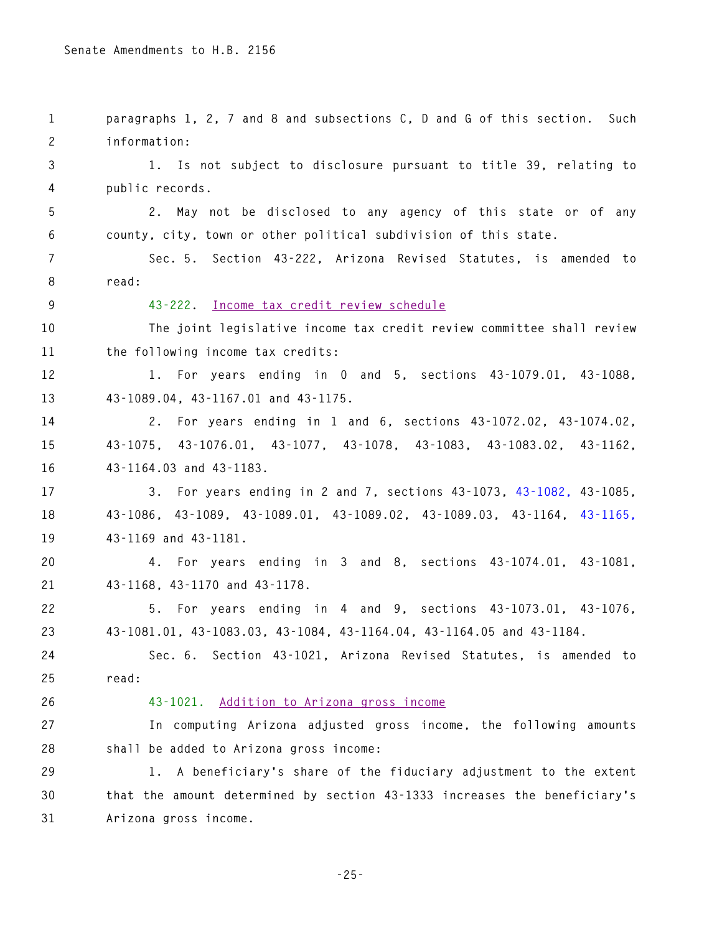**1 paragraphs 1, 2, 7 and 8 and subsections C, D and G of this section. Such 2 information: 3 1. Is not subject to disclosure pursuant to title 39, relating to 4 public records. 5 2. May not be disclosed to any agency of this state or of any 6 county, city, town or other political subdivision of this state. 7 Sec. 5. Section 43-222, Arizona Revised Statutes, is amended to 8 read: 9 43-222. Income tax credit review schedule 10 The joint legislative income tax credit review committee shall review 11 the following income tax credits: 12 1. For years ending in 0 and 5, sections 43-1079.01, 43-1088, 13 43-1089.04, 43-1167.01 and 43-1175. 14 2. For years ending in 1 and 6, sections 43-1072.02, 43-1074.02, 15 43-1075, 43-1076.01, 43-1077, 43-1078, 43-1083, 43-1083.02, 43-1162, 16 43-1164.03 and 43-1183. 17 3. For years ending in 2 and 7, sections 43-1073, 43-1082, 43-1085, 18 43-1086, 43-1089, 43-1089.01, 43-1089.02, 43-1089.03, 43-1164, 43-1165, 19 43-1169 and 43-1181. 20 4. For years ending in 3 and 8, sections 43-1074.01, 43-1081, 21 43-1168, 43-1170 and 43-1178. 22 5. For years ending in 4 and 9, sections 43-1073.01, 43-1076, 23 43-1081.01, 43-1083.03, 43-1084, 43-1164.04, 43-1164.05 and 43-1184. 24 Sec. 6. Section 43-1021, Arizona Revised Statutes, is amended to 25 read: 26 43-1021. Addition to Arizona gross income 27 In computing Arizona adjusted gross income, the following amounts 28 shall be added to Arizona gross income: 29 1. A beneficiary's share of the fiduciary adjustment to the extent 30 that the amount determined by section 43-1333 increases the beneficiary's 31 Arizona gross income.**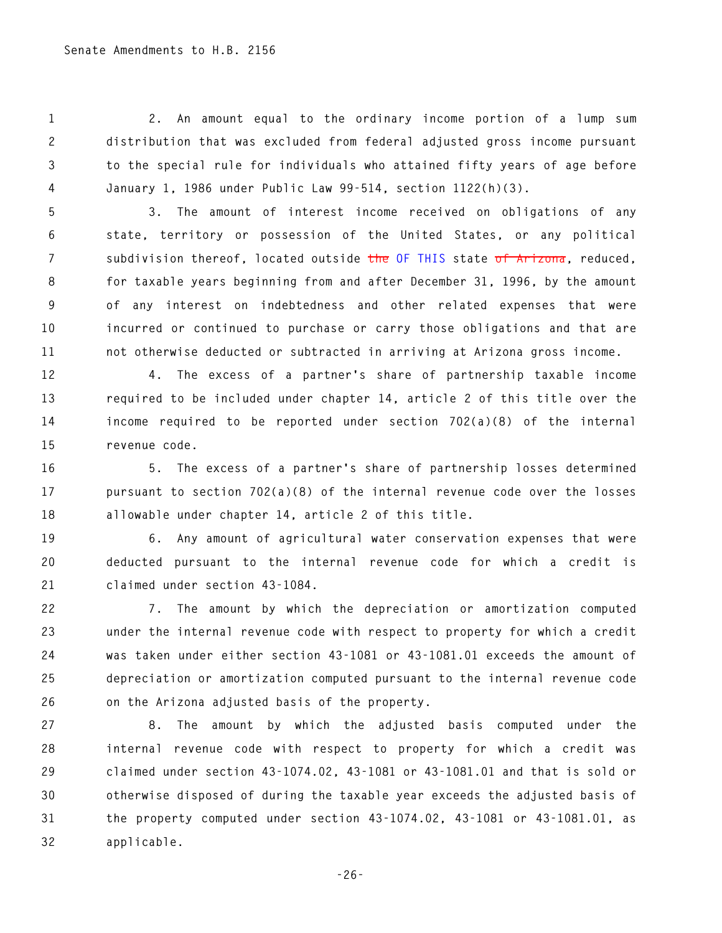**1 2. An amount equal to the ordinary income portion of a lump sum 2 distribution that was excluded from federal adjusted gross income pursuant 3 to the special rule for individuals who attained fifty years of age before 4 January 1, 1986 under Public Law 99-514, section 1122(h)(3).** 

**5 3. The amount of interest income received on obligations of any 6 state, territory or possession of the United States, or any political 7 subdivision thereof, located outside the OF THIS state of Arizona, reduced, 8 for taxable years beginning from and after December 31, 1996, by the amount 9 of any interest on indebtedness and other related expenses that were 10 incurred or continued to purchase or carry those obligations and that are 11 not otherwise deducted or subtracted in arriving at Arizona gross income.** 

**12 4. The excess of a partner's share of partnership taxable income 13 required to be included under chapter 14, article 2 of this title over the 14 income required to be reported under section 702(a)(8) of the internal 15 revenue code.** 

**16 5. The excess of a partner's share of partnership losses determined 17 pursuant to section 702(a)(8) of the internal revenue code over the losses 18 allowable under chapter 14, article 2 of this title.** 

**19 6. Any amount of agricultural water conservation expenses that were 20 deducted pursuant to the internal revenue code for which a credit is 21 claimed under section 43-1084.** 

**22 7. The amount by which the depreciation or amortization computed 23 under the internal revenue code with respect to property for which a credit 24 was taken under either section 43-1081 or 43-1081.01 exceeds the amount of 25 depreciation or amortization computed pursuant to the internal revenue code 26 on the Arizona adjusted basis of the property.** 

**27 8. The amount by which the adjusted basis computed under the 28 internal revenue code with respect to property for which a credit was 29 claimed under section 43-1074.02, 43-1081 or 43-1081.01 and that is sold or 30 otherwise disposed of during the taxable year exceeds the adjusted basis of 31 the property computed under section 43-1074.02, 43-1081 or 43-1081.01, as 32 applicable.**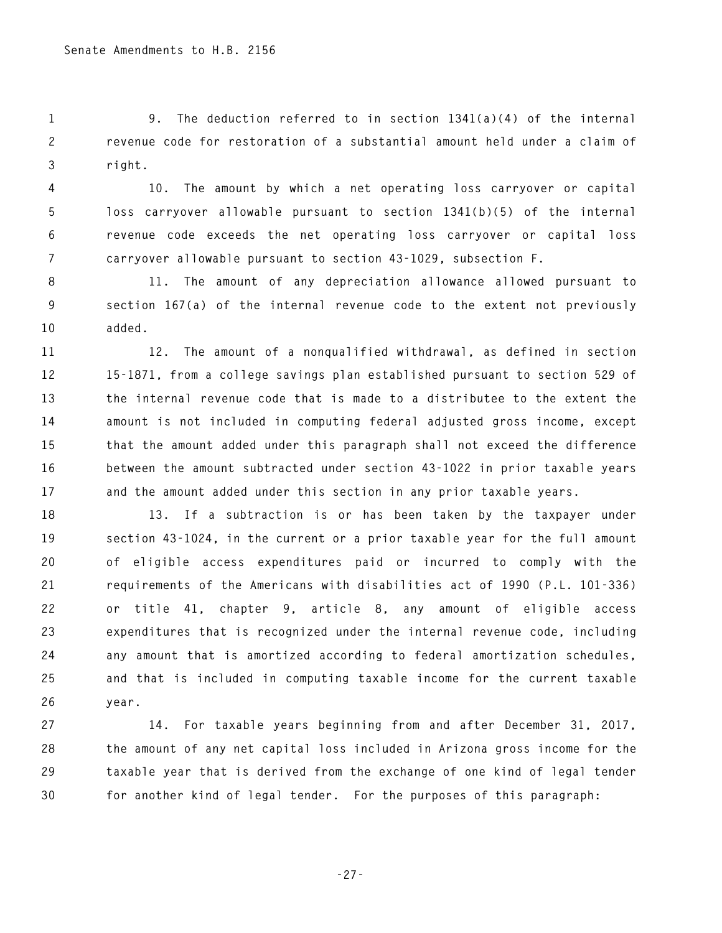**1 9. The deduction referred to in section 1341(a)(4) of the internal 2 revenue code for restoration of a substantial amount held under a claim of 3 right.** 

**4 10. The amount by which a net operating loss carryover or capital 5 loss carryover allowable pursuant to section 1341(b)(5) of the internal 6 revenue code exceeds the net operating loss carryover or capital loss 7 carryover allowable pursuant to section 43-1029, subsection F.** 

**8 11. The amount of any depreciation allowance allowed pursuant to 9 section 167(a) of the internal revenue code to the extent not previously 10 added.** 

**11 12. The amount of a nonqualified withdrawal, as defined in section 12 15-1871, from a college savings plan established pursuant to section 529 of 13 the internal revenue code that is made to a distributee to the extent the 14 amount is not included in computing federal adjusted gross income, except 15 that the amount added under this paragraph shall not exceed the difference 16 between the amount subtracted under section 43-1022 in prior taxable years 17 and the amount added under this section in any prior taxable years.** 

**18 13. If a subtraction is or has been taken by the taxpayer under 19 section 43-1024, in the current or a prior taxable year for the full amount 20 of eligible access expenditures paid or incurred to comply with the 21 requirements of the Americans with disabilities act of 1990 (P.L. 101-336) 22 or title 41, chapter 9, article 8, any amount of eligible access 23 expenditures that is recognized under the internal revenue code, including 24 any amount that is amortized according to federal amortization schedules, 25 and that is included in computing taxable income for the current taxable 26 year.** 

**27 14. For taxable years beginning from and after December 31, 2017, 28 the amount of any net capital loss included in Arizona gross income for the 29 taxable year that is derived from the exchange of one kind of legal tender 30 for another kind of legal tender. For the purposes of this paragraph:** 

**-27-**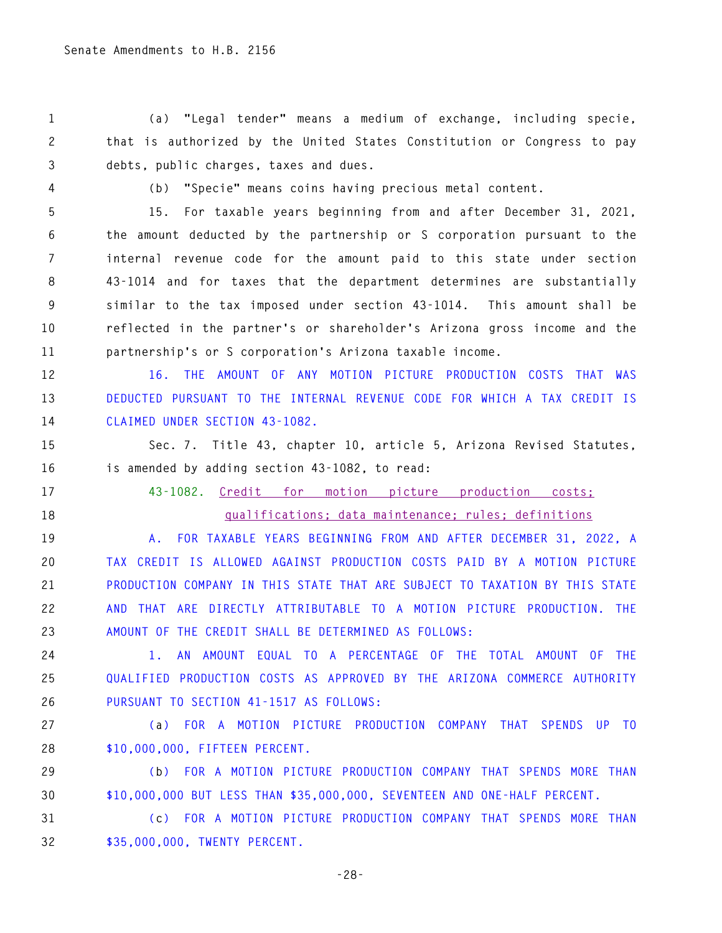**1 (a) "Legal tender" means a medium of exchange, including specie, 2 that is authorized by the United States Constitution or Congress to pay 3 debts, public charges, taxes and dues.** 

**4 (b) "Specie" means coins having precious metal content.** 

**5 15. For taxable years beginning from and after December 31, 2021, 6 the amount deducted by the partnership or S corporation pursuant to the 7 internal revenue code for the amount paid to this state under section 8 43-1014 and for taxes that the department determines are substantially 9 similar to the tax imposed under section 43-1014. This amount shall be 10 reflected in the partner's or shareholder's Arizona gross income and the** 

**11 partnership's or S corporation's Arizona taxable income.** 

**12 16. THE AMOUNT OF ANY MOTION PICTURE PRODUCTION COSTS THAT WAS 13 DEDUCTED PURSUANT TO THE INTERNAL REVENUE CODE FOR WHICH A TAX CREDIT IS 14 CLAIMED UNDER SECTION 43-1082.** 

**15 Sec. 7. Title 43, chapter 10, article 5, Arizona Revised Statutes, 16 is amended by adding section 43-1082, to read:** 

**17 43-1082. Credit for motion picture production costs; 18 qualifications; data maintenance; rules; definitions** 

**19 A. FOR TAXABLE YEARS BEGINNING FROM AND AFTER DECEMBER 31, 2022, A 20 TAX CREDIT IS ALLOWED AGAINST PRODUCTION COSTS PAID BY A MOTION PICTURE 21 PRODUCTION COMPANY IN THIS STATE THAT ARE SUBJECT TO TAXATION BY THIS STATE 22 AND THAT ARE DIRECTLY ATTRIBUTABLE TO A MOTION PICTURE PRODUCTION. THE 23 AMOUNT OF THE CREDIT SHALL BE DETERMINED AS FOLLOWS:** 

**24 1. AN AMOUNT EQUAL TO A PERCENTAGE OF THE TOTAL AMOUNT OF THE 25 QUALIFIED PRODUCTION COSTS AS APPROVED BY THE ARIZONA COMMERCE AUTHORITY 26 PURSUANT TO SECTION 41-1517 AS FOLLOWS:** 

**27 (a) FOR A MOTION PICTURE PRODUCTION COMPANY THAT SPENDS UP TO 28 \$10,000,000, FIFTEEN PERCENT.** 

**29 (b) FOR A MOTION PICTURE PRODUCTION COMPANY THAT SPENDS MORE THAN 30 \$10,000,000 BUT LESS THAN \$35,000,000, SEVENTEEN AND ONE-HALF PERCENT.** 

**31 (c) FOR A MOTION PICTURE PRODUCTION COMPANY THAT SPENDS MORE THAN 32 \$35,000,000, TWENTY PERCENT.**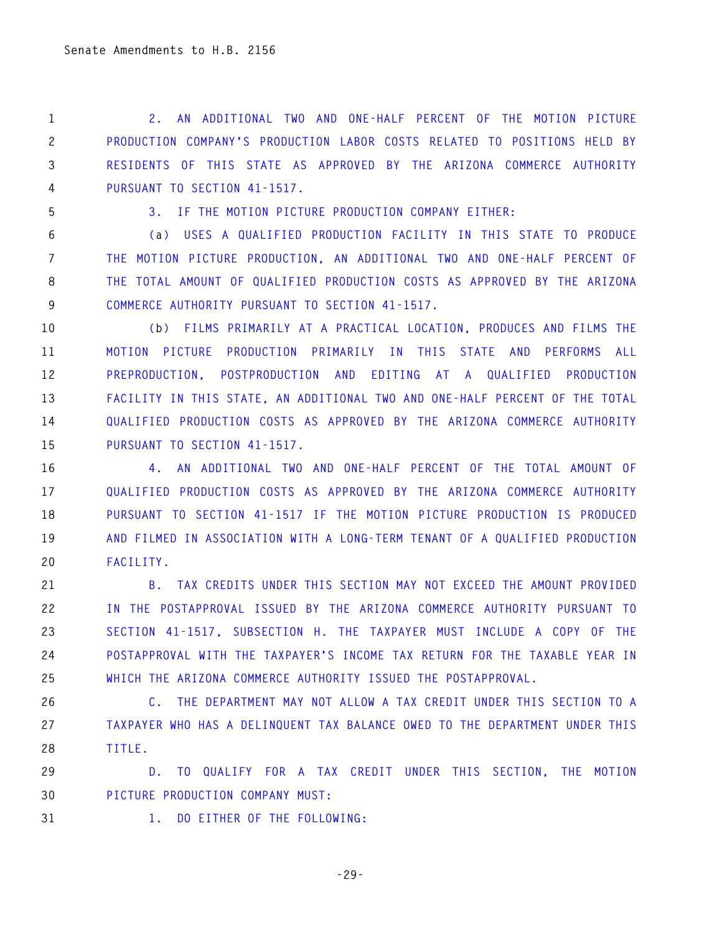**1 2. AN ADDITIONAL TWO AND ONE-HALF PERCENT OF THE MOTION PICTURE 2 PRODUCTION COMPANY'S PRODUCTION LABOR COSTS RELATED TO POSITIONS HELD BY 3 RESIDENTS OF THIS STATE AS APPROVED BY THE ARIZONA COMMERCE AUTHORITY 4 PURSUANT TO SECTION 41-1517.** 

**5 3. IF THE MOTION PICTURE PRODUCTION COMPANY EITHER:** 

**6 (a) USES A QUALIFIED PRODUCTION FACILITY IN THIS STATE TO PRODUCE 7 THE MOTION PICTURE PRODUCTION, AN ADDITIONAL TWO AND ONE-HALF PERCENT OF 8 THE TOTAL AMOUNT OF QUALIFIED PRODUCTION COSTS AS APPROVED BY THE ARIZONA 9 COMMERCE AUTHORITY PURSUANT TO SECTION 41-1517.** 

**10 (b) FILMS PRIMARILY AT A PRACTICAL LOCATION, PRODUCES AND FILMS THE 11 MOTION PICTURE PRODUCTION PRIMARILY IN THIS STATE AND PERFORMS ALL 12 PREPRODUCTION, POSTPRODUCTION AND EDITING AT A QUALIFIED PRODUCTION 13 FACILITY IN THIS STATE, AN ADDITIONAL TWO AND ONE-HALF PERCENT OF THE TOTAL 14 QUALIFIED PRODUCTION COSTS AS APPROVED BY THE ARIZONA COMMERCE AUTHORITY 15 PURSUANT TO SECTION 41-1517.** 

**16 4. AN ADDITIONAL TWO AND ONE-HALF PERCENT OF THE TOTAL AMOUNT OF 17 QUALIFIED PRODUCTION COSTS AS APPROVED BY THE ARIZONA COMMERCE AUTHORITY 18 PURSUANT TO SECTION 41-1517 IF THE MOTION PICTURE PRODUCTION IS PRODUCED 19 AND FILMED IN ASSOCIATION WITH A LONG-TERM TENANT OF A QUALIFIED PRODUCTION 20 FACILITY.** 

**21 B. TAX CREDITS UNDER THIS SECTION MAY NOT EXCEED THE AMOUNT PROVIDED 22 IN THE POSTAPPROVAL ISSUED BY THE ARIZONA COMMERCE AUTHORITY PURSUANT TO 23 SECTION 41-1517, SUBSECTION H. THE TAXPAYER MUST INCLUDE A COPY OF THE 24 POSTAPPROVAL WITH THE TAXPAYER'S INCOME TAX RETURN FOR THE TAXABLE YEAR IN 25 WHICH THE ARIZONA COMMERCE AUTHORITY ISSUED THE POSTAPPROVAL.** 

**26 C. THE DEPARTMENT MAY NOT ALLOW A TAX CREDIT UNDER THIS SECTION TO A 27 TAXPAYER WHO HAS A DELINQUENT TAX BALANCE OWED TO THE DEPARTMENT UNDER THIS 28 TITLE.** 

**29 D. TO QUALIFY FOR A TAX CREDIT UNDER THIS SECTION, THE MOTION 30 PICTURE PRODUCTION COMPANY MUST:** 

**31 1. DO EITHER OF THE FOLLOWING:** 

**-29-**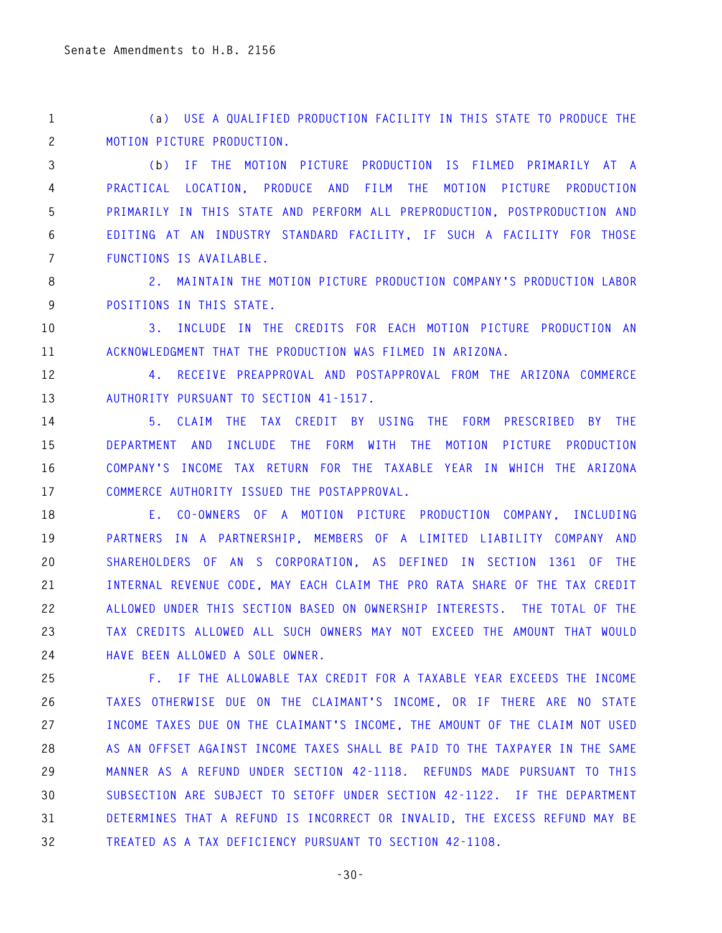**1 (a) USE A QUALIFIED PRODUCTION FACILITY IN THIS STATE TO PRODUCE THE 2 MOTION PICTURE PRODUCTION.** 

**3 (b) IF THE MOTION PICTURE PRODUCTION IS FILMED PRIMARILY AT A 4 PRACTICAL LOCATION, PRODUCE AND FILM THE MOTION PICTURE PRODUCTION 5 PRIMARILY IN THIS STATE AND PERFORM ALL PREPRODUCTION, POSTPRODUCTION AND 6 EDITING AT AN INDUSTRY STANDARD FACILITY, IF SUCH A FACILITY FOR THOSE 7 FUNCTIONS IS AVAILABLE.** 

**8 2. MAINTAIN THE MOTION PICTURE PRODUCTION COMPANY'S PRODUCTION LABOR 9 POSITIONS IN THIS STATE.** 

**10 3. INCLUDE IN THE CREDITS FOR EACH MOTION PICTURE PRODUCTION AN 11 ACKNOWLEDGMENT THAT THE PRODUCTION WAS FILMED IN ARIZONA.** 

**12 4. RECEIVE PREAPPROVAL AND POSTAPPROVAL FROM THE ARIZONA COMMERCE 13 AUTHORITY PURSUANT TO SECTION 41-1517.** 

**14 5. CLAIM THE TAX CREDIT BY USING THE FORM PRESCRIBED BY THE 15 DEPARTMENT AND INCLUDE THE FORM WITH THE MOTION PICTURE PRODUCTION 16 COMPANY'S INCOME TAX RETURN FOR THE TAXABLE YEAR IN WHICH THE ARIZONA 17 COMMERCE AUTHORITY ISSUED THE POSTAPPROVAL.** 

**18 E. CO-OWNERS OF A MOTION PICTURE PRODUCTION COMPANY, INCLUDING 19 PARTNERS IN A PARTNERSHIP, MEMBERS OF A LIMITED LIABILITY COMPANY AND 20 SHAREHOLDERS OF AN S CORPORATION, AS DEFINED IN SECTION 1361 OF THE 21 INTERNAL REVENUE CODE, MAY EACH CLAIM THE PRO RATA SHARE OF THE TAX CREDIT 22 ALLOWED UNDER THIS SECTION BASED ON OWNERSHIP INTERESTS. THE TOTAL OF THE 23 TAX CREDITS ALLOWED ALL SUCH OWNERS MAY NOT EXCEED THE AMOUNT THAT WOULD 24 HAVE BEEN ALLOWED A SOLE OWNER.** 

**25 F. IF THE ALLOWABLE TAX CREDIT FOR A TAXABLE YEAR EXCEEDS THE INCOME 26 TAXES OTHERWISE DUE ON THE CLAIMANT'S INCOME, OR IF THERE ARE NO STATE 27 INCOME TAXES DUE ON THE CLAIMANT'S INCOME, THE AMOUNT OF THE CLAIM NOT USED 28 AS AN OFFSET AGAINST INCOME TAXES SHALL BE PAID TO THE TAXPAYER IN THE SAME 29 MANNER AS A REFUND UNDER SECTION 42-1118. REFUNDS MADE PURSUANT TO THIS 30 SUBSECTION ARE SUBJECT TO SETOFF UNDER SECTION 42-1122. IF THE DEPARTMENT 31 DETERMINES THAT A REFUND IS INCORRECT OR INVALID, THE EXCESS REFUND MAY BE 32 TREATED AS A TAX DEFICIENCY PURSUANT TO SECTION 42-1108.** 

**-30-**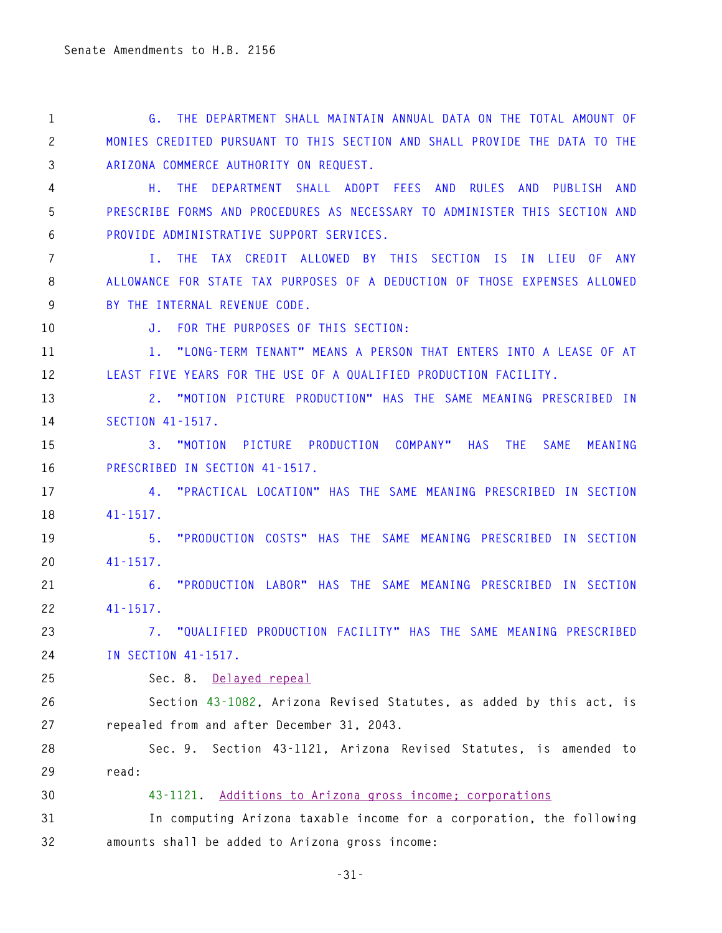**1 G. THE DEPARTMENT SHALL MAINTAIN ANNUAL DATA ON THE TOTAL AMOUNT OF 2 MONIES CREDITED PURSUANT TO THIS SECTION AND SHALL PROVIDE THE DATA TO THE 3 ARIZONA COMMERCE AUTHORITY ON REQUEST.** 

**4 H. THE DEPARTMENT SHALL ADOPT FEES AND RULES AND PUBLISH AND 5 PRESCRIBE FORMS AND PROCEDURES AS NECESSARY TO ADMINISTER THIS SECTION AND 6 PROVIDE ADMINISTRATIVE SUPPORT SERVICES.** 

**7 I. THE TAX CREDIT ALLOWED BY THIS SECTION IS IN LIEU OF ANY 8 ALLOWANCE FOR STATE TAX PURPOSES OF A DEDUCTION OF THOSE EXPENSES ALLOWED 9 BY THE INTERNAL REVENUE CODE.** 

**10 J. FOR THE PURPOSES OF THIS SECTION:** 

**11 1. "LONG-TERM TENANT" MEANS A PERSON THAT ENTERS INTO A LEASE OF AT 12 LEAST FIVE YEARS FOR THE USE OF A QUALIFIED PRODUCTION FACILITY.** 

**13 2. "MOTION PICTURE PRODUCTION" HAS THE SAME MEANING PRESCRIBED IN 14 SECTION 41-1517.** 

**15 3. "MOTION PICTURE PRODUCTION COMPANY" HAS THE SAME MEANING 16 PRESCRIBED IN SECTION 41-1517.** 

**17 4. "PRACTICAL LOCATION" HAS THE SAME MEANING PRESCRIBED IN SECTION 18 41-1517.** 

**19 5. "PRODUCTION COSTS" HAS THE SAME MEANING PRESCRIBED IN SECTION 20 41-1517.** 

**21 6. "PRODUCTION LABOR" HAS THE SAME MEANING PRESCRIBED IN SECTION 22 41-1517.** 

**23 7. "QUALIFIED PRODUCTION FACILITY" HAS THE SAME MEANING PRESCRIBED 24 IN SECTION 41-1517.** 

**25 Sec. 8. Delayed repeal**

**26 Section 43-1082, Arizona Revised Statutes, as added by this act, is 27 repealed from and after December 31, 2043.** 

**28 Sec. 9. Section 43-1121, Arizona Revised Statutes, is amended to 29 read:** 

#### **30 43-1121. Additions to Arizona gross income; corporations**

**31 In computing Arizona taxable income for a corporation, the following 32 amounts shall be added to Arizona gross income:**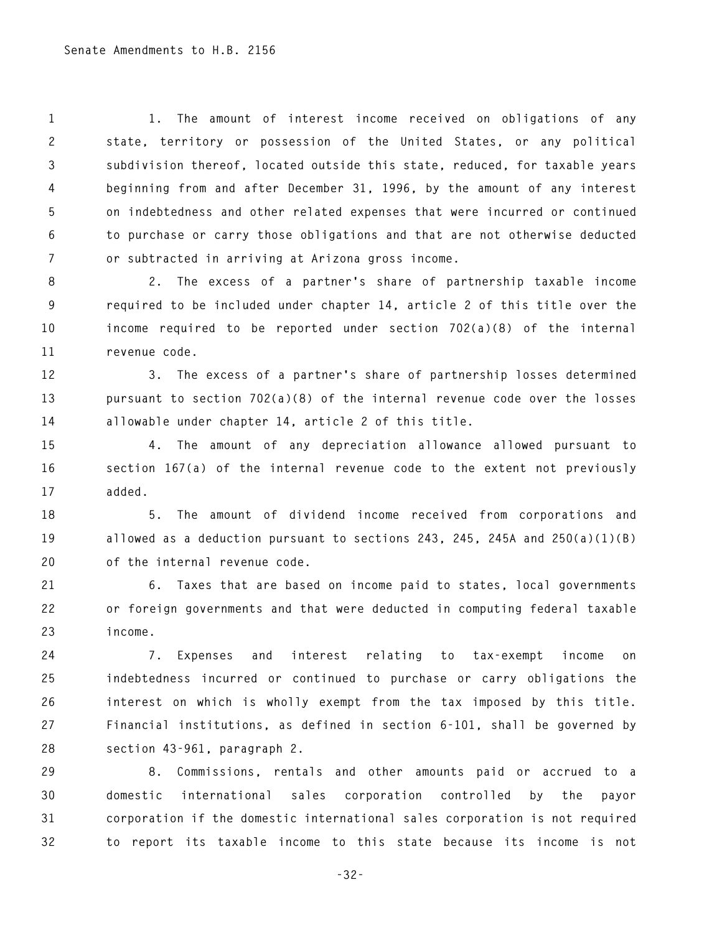**1 1. The amount of interest income received on obligations of any 2 state, territory or possession of the United States, or any political 3 subdivision thereof, located outside this state, reduced, for taxable years 4 beginning from and after December 31, 1996, by the amount of any interest 5 on indebtedness and other related expenses that were incurred or continued 6 to purchase or carry those obligations and that are not otherwise deducted 7 or subtracted in arriving at Arizona gross income.** 

**8 2. The excess of a partner's share of partnership taxable income 9 required to be included under chapter 14, article 2 of this title over the 10 income required to be reported under section 702(a)(8) of the internal 11 revenue code.** 

**12 3. The excess of a partner's share of partnership losses determined 13 pursuant to section 702(a)(8) of the internal revenue code over the losses 14 allowable under chapter 14, article 2 of this title.** 

**15 4. The amount of any depreciation allowance allowed pursuant to 16 section 167(a) of the internal revenue code to the extent not previously 17 added.** 

**18 5. The amount of dividend income received from corporations and 19 allowed as a deduction pursuant to sections 243, 245, 245A and 250(a)(1)(B) 20 of the internal revenue code.** 

**21 6. Taxes that are based on income paid to states, local governments 22 or foreign governments and that were deducted in computing federal taxable 23 income.** 

**24 7. Expenses and interest relating to tax-exempt income on 25 indebtedness incurred or continued to purchase or carry obligations the 26 interest on which is wholly exempt from the tax imposed by this title. 27 Financial institutions, as defined in section 6-101, shall be governed by 28 section 43-961, paragraph 2.** 

**29 8. Commissions, rentals and other amounts paid or accrued to a 30 domestic international sales corporation controlled by the payor 31 corporation if the domestic international sales corporation is not required 32 to report its taxable income to this state because its income is not** 

**-32-**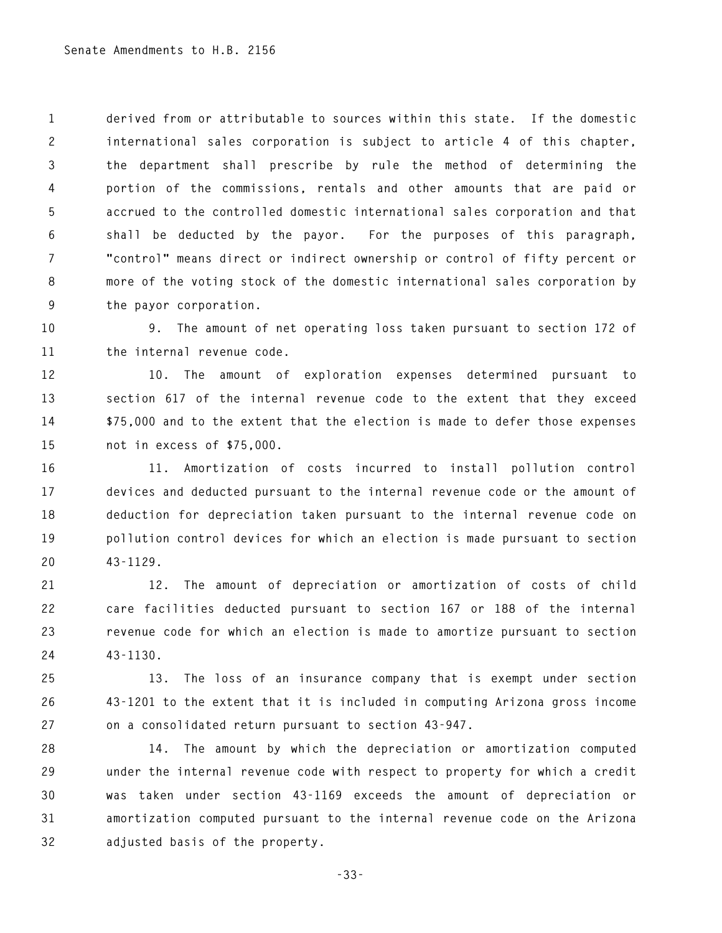**1 derived from or attributable to sources within this state. If the domestic 2 international sales corporation is subject to article 4 of this chapter, 3 the department shall prescribe by rule the method of determining the 4 portion of the commissions, rentals and other amounts that are paid or 5 accrued to the controlled domestic international sales corporation and that 6 shall be deducted by the payor. For the purposes of this paragraph, 7 "control" means direct or indirect ownership or control of fifty percent or 8 more of the voting stock of the domestic international sales corporation by 9 the payor corporation.** 

**10 9. The amount of net operating loss taken pursuant to section 172 of 11 the internal revenue code.** 

**12 10. The amount of exploration expenses determined pursuant to 13 section 617 of the internal revenue code to the extent that they exceed 14 \$75,000 and to the extent that the election is made to defer those expenses 15 not in excess of \$75,000.** 

**16 11. Amortization of costs incurred to install pollution control 17 devices and deducted pursuant to the internal revenue code or the amount of 18 deduction for depreciation taken pursuant to the internal revenue code on 19 pollution control devices for which an election is made pursuant to section 20 43-1129.** 

**21 12. The amount of depreciation or amortization of costs of child 22 care facilities deducted pursuant to section 167 or 188 of the internal 23 revenue code for which an election is made to amortize pursuant to section 24 43-1130.** 

**25 13. The loss of an insurance company that is exempt under section 26 43-1201 to the extent that it is included in computing Arizona gross income 27 on a consolidated return pursuant to section 43-947.** 

**28 14. The amount by which the depreciation or amortization computed 29 under the internal revenue code with respect to property for which a credit 30 was taken under section 43-1169 exceeds the amount of depreciation or 31 amortization computed pursuant to the internal revenue code on the Arizona 32 adjusted basis of the property.** 

**-33-**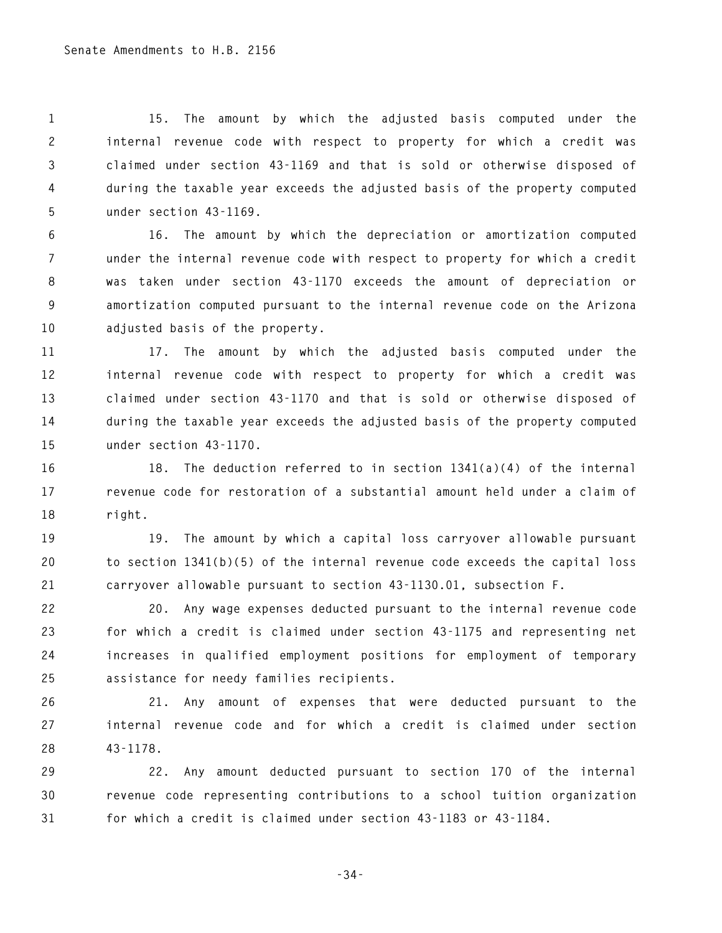**1 15. The amount by which the adjusted basis computed under the 2 internal revenue code with respect to property for which a credit was 3 claimed under section 43-1169 and that is sold or otherwise disposed of 4 during the taxable year exceeds the adjusted basis of the property computed 5 under section 43-1169.** 

**6 16. The amount by which the depreciation or amortization computed 7 under the internal revenue code with respect to property for which a credit 8 was taken under section 43-1170 exceeds the amount of depreciation or 9 amortization computed pursuant to the internal revenue code on the Arizona 10 adjusted basis of the property.** 

**11 17. The amount by which the adjusted basis computed under the 12 internal revenue code with respect to property for which a credit was 13 claimed under section 43-1170 and that is sold or otherwise disposed of 14 during the taxable year exceeds the adjusted basis of the property computed 15 under section 43-1170.** 

**16 18. The deduction referred to in section 1341(a)(4) of the internal 17 revenue code for restoration of a substantial amount held under a claim of 18 right.** 

**19 19. The amount by which a capital loss carryover allowable pursuant 20 to section 1341(b)(5) of the internal revenue code exceeds the capital loss 21 carryover allowable pursuant to section 43-1130.01, subsection F.** 

**22 20. Any wage expenses deducted pursuant to the internal revenue code 23 for which a credit is claimed under section 43-1175 and representing net 24 increases in qualified employment positions for employment of temporary 25 assistance for needy families recipients.** 

**26 21. Any amount of expenses that were deducted pursuant to the 27 internal revenue code and for which a credit is claimed under section 28 43-1178.** 

**29 22. Any amount deducted pursuant to section 170 of the internal 30 revenue code representing contributions to a school tuition organization 31 for which a credit is claimed under section 43-1183 or 43-1184.** 

```
-34-
```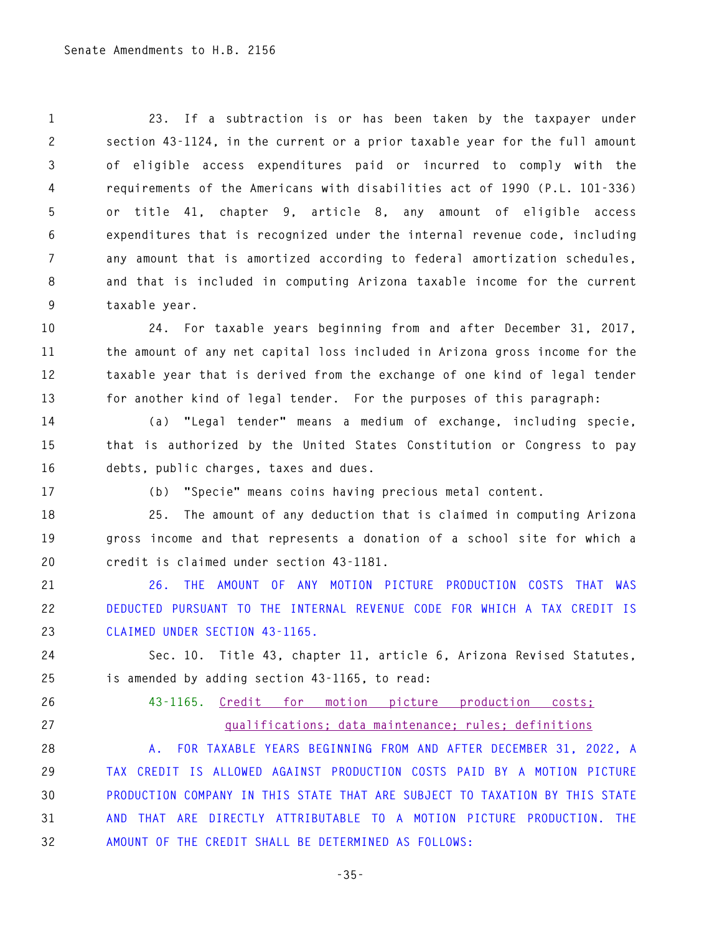**1 23. If a subtraction is or has been taken by the taxpayer under 2 section 43-1124, in the current or a prior taxable year for the full amount 3 of eligible access expenditures paid or incurred to comply with the 4 requirements of the Americans with disabilities act of 1990 (P.L. 101-336) 5 or title 41, chapter 9, article 8, any amount of eligible access 6 expenditures that is recognized under the internal revenue code, including 7 any amount that is amortized according to federal amortization schedules, 8 and that is included in computing Arizona taxable income for the current 9 taxable year.** 

**10 24. For taxable years beginning from and after December 31, 2017, 11 the amount of any net capital loss included in Arizona gross income for the 12 taxable year that is derived from the exchange of one kind of legal tender 13 for another kind of legal tender. For the purposes of this paragraph:** 

**14 (a) "Legal tender" means a medium of exchange, including specie, 15 that is authorized by the United States Constitution or Congress to pay 16 debts, public charges, taxes and dues.** 

**17 (b) "Specie" means coins having precious metal content.** 

**18 25. The amount of any deduction that is claimed in computing Arizona 19 gross income and that represents a donation of a school site for which a 20 credit is claimed under section 43-1181.** 

**21 26. THE AMOUNT OF ANY MOTION PICTURE PRODUCTION COSTS THAT WAS 22 DEDUCTED PURSUANT TO THE INTERNAL REVENUE CODE FOR WHICH A TAX CREDIT IS 23 CLAIMED UNDER SECTION 43-1165.** 

**24 Sec. 10. Title 43, chapter 11, article 6, Arizona Revised Statutes, 25 is amended by adding section 43-1165, to read:** 

## **26 43-1165. Credit for motion picture production costs; 27 qualifications; data maintenance; rules; definitions**

**28 A. FOR TAXABLE YEARS BEGINNING FROM AND AFTER DECEMBER 31, 2022, A 29 TAX CREDIT IS ALLOWED AGAINST PRODUCTION COSTS PAID BY A MOTION PICTURE 30 PRODUCTION COMPANY IN THIS STATE THAT ARE SUBJECT TO TAXATION BY THIS STATE 31 AND THAT ARE DIRECTLY ATTRIBUTABLE TO A MOTION PICTURE PRODUCTION. THE 32 AMOUNT OF THE CREDIT SHALL BE DETERMINED AS FOLLOWS:**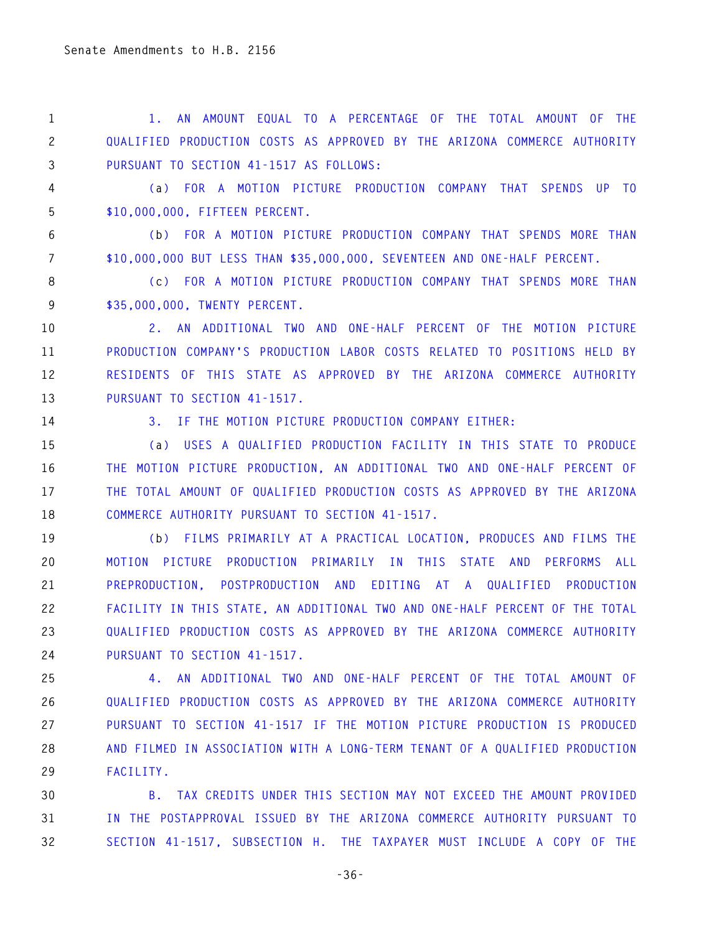**1 1. AN AMOUNT EQUAL TO A PERCENTAGE OF THE TOTAL AMOUNT OF THE 2 QUALIFIED PRODUCTION COSTS AS APPROVED BY THE ARIZONA COMMERCE AUTHORITY 3 PURSUANT TO SECTION 41-1517 AS FOLLOWS:** 

**4 (a) FOR A MOTION PICTURE PRODUCTION COMPANY THAT SPENDS UP TO 5 \$10,000,000, FIFTEEN PERCENT.** 

**6 (b) FOR A MOTION PICTURE PRODUCTION COMPANY THAT SPENDS MORE THAN 7 \$10,000,000 BUT LESS THAN \$35,000,000, SEVENTEEN AND ONE-HALF PERCENT.** 

**8 (c) FOR A MOTION PICTURE PRODUCTION COMPANY THAT SPENDS MORE THAN 9 \$35,000,000, TWENTY PERCENT.** 

**10 2. AN ADDITIONAL TWO AND ONE-HALF PERCENT OF THE MOTION PICTURE 11 PRODUCTION COMPANY'S PRODUCTION LABOR COSTS RELATED TO POSITIONS HELD BY 12 RESIDENTS OF THIS STATE AS APPROVED BY THE ARIZONA COMMERCE AUTHORITY 13 PURSUANT TO SECTION 41-1517.** 

**14 3. IF THE MOTION PICTURE PRODUCTION COMPANY EITHER:** 

**15 (a) USES A QUALIFIED PRODUCTION FACILITY IN THIS STATE TO PRODUCE 16 THE MOTION PICTURE PRODUCTION, AN ADDITIONAL TWO AND ONE-HALF PERCENT OF 17 THE TOTAL AMOUNT OF QUALIFIED PRODUCTION COSTS AS APPROVED BY THE ARIZONA 18 COMMERCE AUTHORITY PURSUANT TO SECTION 41-1517.** 

**19 (b) FILMS PRIMARILY AT A PRACTICAL LOCATION, PRODUCES AND FILMS THE 20 MOTION PICTURE PRODUCTION PRIMARILY IN THIS STATE AND PERFORMS ALL 21 PREPRODUCTION, POSTPRODUCTION AND EDITING AT A QUALIFIED PRODUCTION 22 FACILITY IN THIS STATE, AN ADDITIONAL TWO AND ONE-HALF PERCENT OF THE TOTAL 23 QUALIFIED PRODUCTION COSTS AS APPROVED BY THE ARIZONA COMMERCE AUTHORITY 24 PURSUANT TO SECTION 41-1517.** 

**25 4. AN ADDITIONAL TWO AND ONE-HALF PERCENT OF THE TOTAL AMOUNT OF 26 QUALIFIED PRODUCTION COSTS AS APPROVED BY THE ARIZONA COMMERCE AUTHORITY 27 PURSUANT TO SECTION 41-1517 IF THE MOTION PICTURE PRODUCTION IS PRODUCED 28 AND FILMED IN ASSOCIATION WITH A LONG-TERM TENANT OF A QUALIFIED PRODUCTION 29 FACILITY.** 

**30 B. TAX CREDITS UNDER THIS SECTION MAY NOT EXCEED THE AMOUNT PROVIDED 31 IN THE POSTAPPROVAL ISSUED BY THE ARIZONA COMMERCE AUTHORITY PURSUANT TO 32 SECTION 41-1517, SUBSECTION H. THE TAXPAYER MUST INCLUDE A COPY OF THE** 

**-36-**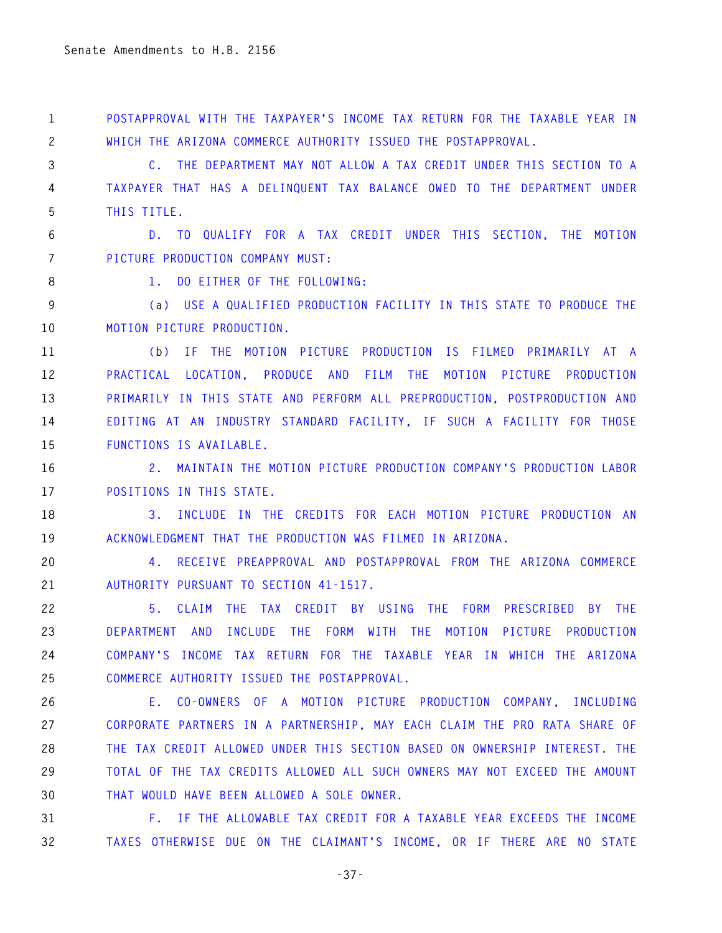**1 POSTAPPROVAL WITH THE TAXPAYER'S INCOME TAX RETURN FOR THE TAXABLE YEAR IN 2 WHICH THE ARIZONA COMMERCE AUTHORITY ISSUED THE POSTAPPROVAL.** 

**3 C. THE DEPARTMENT MAY NOT ALLOW A TAX CREDIT UNDER THIS SECTION TO A 4 TAXPAYER THAT HAS A DELINQUENT TAX BALANCE OWED TO THE DEPARTMENT UNDER 5 THIS TITLE.** 

**6 D. TO QUALIFY FOR A TAX CREDIT UNDER THIS SECTION, THE MOTION 7 PICTURE PRODUCTION COMPANY MUST:** 

**8 1. DO EITHER OF THE FOLLOWING:** 

**9 (a) USE A QUALIFIED PRODUCTION FACILITY IN THIS STATE TO PRODUCE THE 10 MOTION PICTURE PRODUCTION.** 

**11 (b) IF THE MOTION PICTURE PRODUCTION IS FILMED PRIMARILY AT A 12 PRACTICAL LOCATION, PRODUCE AND FILM THE MOTION PICTURE PRODUCTION 13 PRIMARILY IN THIS STATE AND PERFORM ALL PREPRODUCTION, POSTPRODUCTION AND 14 EDITING AT AN INDUSTRY STANDARD FACILITY, IF SUCH A FACILITY FOR THOSE 15 FUNCTIONS IS AVAILABLE.** 

**16 2. MAINTAIN THE MOTION PICTURE PRODUCTION COMPANY'S PRODUCTION LABOR 17 POSITIONS IN THIS STATE.** 

**18 3. INCLUDE IN THE CREDITS FOR EACH MOTION PICTURE PRODUCTION AN 19 ACKNOWLEDGMENT THAT THE PRODUCTION WAS FILMED IN ARIZONA.** 

**20 4. RECEIVE PREAPPROVAL AND POSTAPPROVAL FROM THE ARIZONA COMMERCE 21 AUTHORITY PURSUANT TO SECTION 41-1517.** 

**22 5. CLAIM THE TAX CREDIT BY USING THE FORM PRESCRIBED BY THE 23 DEPARTMENT AND INCLUDE THE FORM WITH THE MOTION PICTURE PRODUCTION 24 COMPANY'S INCOME TAX RETURN FOR THE TAXABLE YEAR IN WHICH THE ARIZONA 25 COMMERCE AUTHORITY ISSUED THE POSTAPPROVAL.** 

**26 E. CO-OWNERS OF A MOTION PICTURE PRODUCTION COMPANY, INCLUDING 27 CORPORATE PARTNERS IN A PARTNERSHIP, MAY EACH CLAIM THE PRO RATA SHARE OF 28 THE TAX CREDIT ALLOWED UNDER THIS SECTION BASED ON OWNERSHIP INTEREST. THE 29 TOTAL OF THE TAX CREDITS ALLOWED ALL SUCH OWNERS MAY NOT EXCEED THE AMOUNT 30 THAT WOULD HAVE BEEN ALLOWED A SOLE OWNER.** 

**31 F. IF THE ALLOWABLE TAX CREDIT FOR A TAXABLE YEAR EXCEEDS THE INCOME 32 TAXES OTHERWISE DUE ON THE CLAIMANT'S INCOME, OR IF THERE ARE NO STATE** 

**-37-**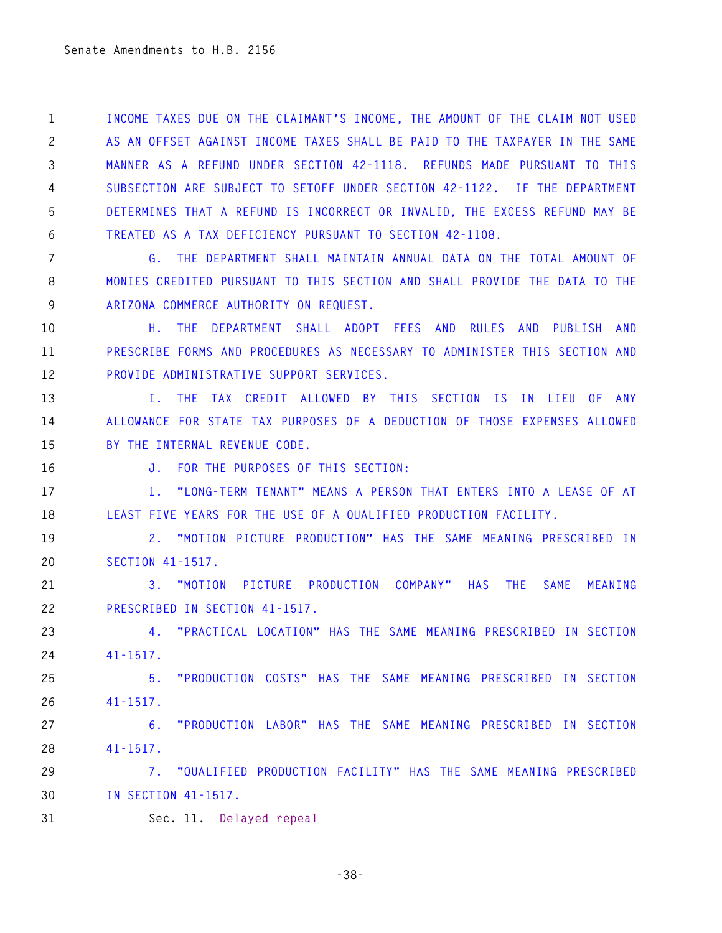**1 INCOME TAXES DUE ON THE CLAIMANT'S INCOME, THE AMOUNT OF THE CLAIM NOT USED 2 AS AN OFFSET AGAINST INCOME TAXES SHALL BE PAID TO THE TAXPAYER IN THE SAME 3 MANNER AS A REFUND UNDER SECTION 42-1118. REFUNDS MADE PURSUANT TO THIS 4 SUBSECTION ARE SUBJECT TO SETOFF UNDER SECTION 42-1122. IF THE DEPARTMENT 5 DETERMINES THAT A REFUND IS INCORRECT OR INVALID, THE EXCESS REFUND MAY BE 6 TREATED AS A TAX DEFICIENCY PURSUANT TO SECTION 42-1108.** 

**7 G. THE DEPARTMENT SHALL MAINTAIN ANNUAL DATA ON THE TOTAL AMOUNT OF 8 MONIES CREDITED PURSUANT TO THIS SECTION AND SHALL PROVIDE THE DATA TO THE 9 ARIZONA COMMERCE AUTHORITY ON REQUEST.** 

**10 H. THE DEPARTMENT SHALL ADOPT FEES AND RULES AND PUBLISH AND 11 PRESCRIBE FORMS AND PROCEDURES AS NECESSARY TO ADMINISTER THIS SECTION AND 12 PROVIDE ADMINISTRATIVE SUPPORT SERVICES.** 

**13 I. THE TAX CREDIT ALLOWED BY THIS SECTION IS IN LIEU OF ANY 14 ALLOWANCE FOR STATE TAX PURPOSES OF A DEDUCTION OF THOSE EXPENSES ALLOWED 15 BY THE INTERNAL REVENUE CODE.** 

**16 J. FOR THE PURPOSES OF THIS SECTION:** 

**17 1. "LONG-TERM TENANT" MEANS A PERSON THAT ENTERS INTO A LEASE OF AT 18 LEAST FIVE YEARS FOR THE USE OF A QUALIFIED PRODUCTION FACILITY.** 

**19 2. "MOTION PICTURE PRODUCTION" HAS THE SAME MEANING PRESCRIBED IN 20 SECTION 41-1517.** 

**21 3. "MOTION PICTURE PRODUCTION COMPANY" HAS THE SAME MEANING 22 PRESCRIBED IN SECTION 41-1517.** 

**23 4. "PRACTICAL LOCATION" HAS THE SAME MEANING PRESCRIBED IN SECTION 24 41-1517.** 

**25 5. "PRODUCTION COSTS" HAS THE SAME MEANING PRESCRIBED IN SECTION 26 41-1517.** 

**27 6. "PRODUCTION LABOR" HAS THE SAME MEANING PRESCRIBED IN SECTION 28 41-1517.** 

**29 7. "QUALIFIED PRODUCTION FACILITY" HAS THE SAME MEANING PRESCRIBED 30 IN SECTION 41-1517.**

**31 Sec. 11. Delayed repeal**

**-38-**